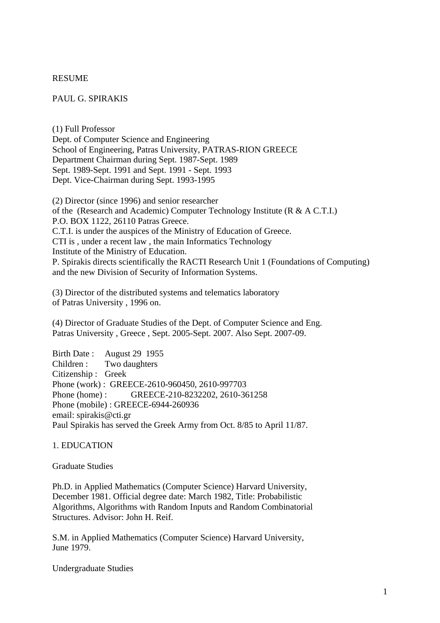#### RESUME

#### PAUL G. SPIRAKIS

(1) Full Professor Dept. of Computer Science and Engineering School of Engineering, Patras University, PATRAS-RION GREECE Department Chairman during Sept. 1987-Sept. 1989 Sept. 1989-Sept. 1991 and Sept. 1991 - Sept. 1993 Dept. Vice-Chairman during Sept. 1993-1995

(2) Director (since 1996) and senior researcher of the (Research and Academic) Computer Technology Institute (R & A C.T.I.) P.O. BOX 1122, 26110 Patras Greece. C.T.I. is under the auspices of the Ministry of Education of Greece. CTI is , under a recent law , the main Informatics Technology Institute of the Ministry of Education. P. Spirakis directs scientifically the RACTI Research Unit 1 (Foundations of Computing) and the new Division of Security of Information Systems.

(3) Director of the distributed systems and telematics laboratory of Patras University , 1996 on.

(4) Director of Graduate Studies of the Dept. of Computer Science and Eng. Patras University , Greece , Sept. 2005-Sept. 2007. Also Sept. 2007-09.

Birth Date : August 29 1955 Children : Two daughters Citizenship : Greek Phone (work) : GREECE-2610-960450, 2610-997703 Phone (home) : GREECE-210-8232202, 2610-361258 Phone (mobile) : GREECE-6944-260936 email: spirakis@cti.gr Paul Spirakis has served the Greek Army from Oct. 8/85 to April 11/87.

#### 1. EDUCATION

Graduate Studies

Ph.D. in Applied Mathematics (Computer Science) Harvard University, December 1981. Official degree date: March 1982, Title: Probabilistic Algorithms, Algorithms with Random Inputs and Random Combinatorial Structures. Advisor: John H. Reif.

S.M. in Applied Mathematics (Computer Science) Harvard University, June 1979.

Undergraduate Studies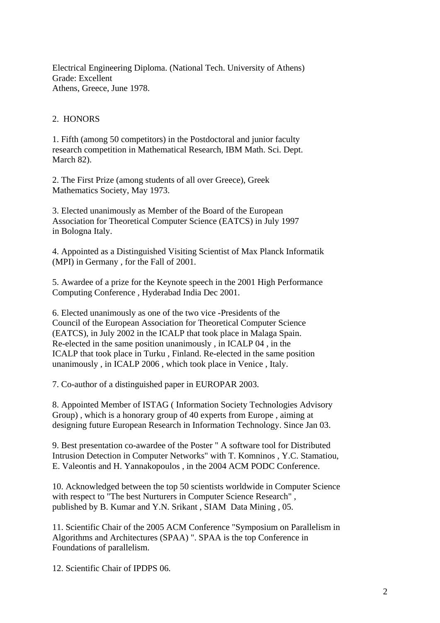Electrical Engineering Diploma. (National Tech. University of Athens) Grade: Excellent Athens, Greece, June 1978.

## 2. HONORS

1. Fifth (among 50 competitors) in the Postdoctoral and junior faculty research competition in Mathematical Research, IBM Math. Sci. Dept. March 82).

2. The First Prize (among students of all over Greece), Greek Mathematics Society, May 1973.

3. Elected unanimously as Member of the Board of the European Association for Theoretical Computer Science (EATCS) in July 1997 in Bologna Italy.

4. Appointed as a Distinguished Visiting Scientist of Max Planck Informatik (MPI) in Germany , for the Fall of 2001.

5. Awardee of a prize for the Keynote speech in the 2001 High Performance Computing Conference , Hyderabad India Dec 2001.

6. Elected unanimously as one of the two vice -Presidents of the Council of the European Association for Theoretical Computer Science (EATCS), in July 2002 in the ICALP that took place in Malaga Spain. Re-elected in the same position unanimously , in ICALP 04 , in the ICALP that took place in Turku , Finland. Re-elected in the same position unanimously , in ICALP 2006 , which took place in Venice , Italy.

7. Co-author of a distinguished paper in EUROPAR 2003.

8. Appointed Member of ISTAG ( Information Society Technologies Advisory Group) , which is a honorary group of 40 experts from Europe , aiming at designing future European Research in Information Technology. Since Jan 03.

9. Best presentation co-awardee of the Poster " A software tool for Distributed Intrusion Detection in Computer Networks" with T. Komninos , Y.C. Stamatiou, E. Valeontis and H. Yannakopoulos , in the 2004 ACM PODC Conference.

10. Acknowledged between the top 50 scientists worldwide in Computer Science with respect to "The best Nurturers in Computer Science Research" , published by B. Kumar and Y.N. Srikant , SIAM Data Mining , 05.

11. Scientific Chair of the 2005 ACM Conference "Symposium on Parallelism in Algorithms and Architectures (SPAA) ". SPAA is the top Conference in Foundations of parallelism.

12. Scientific Chair of IPDPS 06.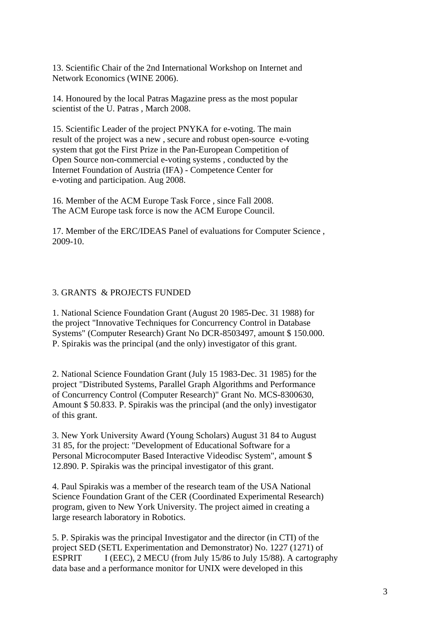13. Scientific Chair of the 2nd International Workshop on Internet and Network Economics (WINE 2006).

14. Honoured by the local Patras Magazine press as the most popular scientist of the U. Patras , March 2008.

15. Scientific Leader of the project PNYKA for e-voting. The main result of the project was a new , secure and robust open-source e-voting system that got the First Prize in the Pan-European Competition of Open Source non-commercial e-voting systems , conducted by the Internet Foundation of Austria (IFA) - Competence Center for e-voting and participation. Aug 2008.

16. Member of the ACM Europe Task Force , since Fall 2008. The ACM Europe task force is now the ACM Europe Council.

17. Member of the ERC/IDEAS Panel of evaluations for Computer Science , 2009-10.

# 3. GRANTS & PROJECTS FUNDED

1. National Science Foundation Grant (August 20 1985-Dec. 31 1988) for the project "Innovative Techniques for Concurrency Control in Database Systems" (Computer Research) Grant No DCR-8503497, amount \$ 150.000. P. Spirakis was the principal (and the only) investigator of this grant.

2. National Science Foundation Grant (July 15 1983-Dec. 31 1985) for the project "Distributed Systems, Parallel Graph Algorithms and Performance of Concurrency Control (Computer Research)" Grant No. MCS-8300630, Amount \$ 50.833. P. Spirakis was the principal (and the only) investigator of this grant.

3. New York University Award (Young Scholars) August 31 84 to August 31 85, for the project: "Development of Educational Software for a Personal Microcomputer Based Interactive Videodisc System", amount \$ 12.890. P. Spirakis was the principal investigator of this grant.

4. Paul Spirakis was a member of the research team of the USA National Science Foundation Grant of the CER (Coordinated Experimental Research) program, given to New York University. The project aimed in creating a large research laboratory in Robotics.

5. P. Spirakis was the principal Investigator and the director (in CTI) of the project SED (SETL Experimentation and Demonstrator) No. 1227 (1271) of ESPRIT I (EEC), 2 MECU (from July 15/86 to July 15/88). A cartography data base and a performance monitor for UNIX were developed in this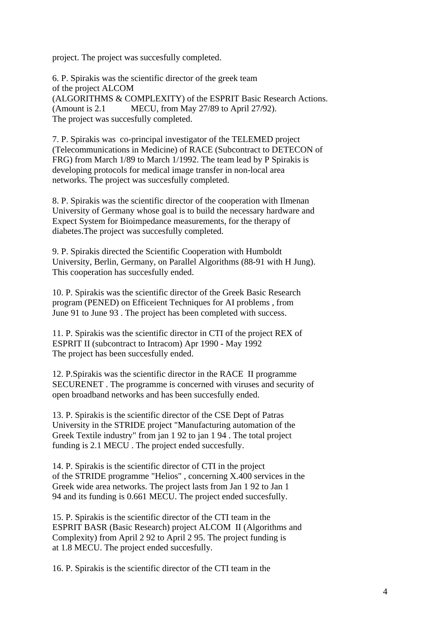project. The project was succesfully completed.

6. P. Spirakis was the scientific director of the greek team of the project ALCOM (ALGORITHMS & COMPLEXITY) of the ESPRIT Basic Research Actions. (Amount is 2.1 MECU, from May 27/89 to April 27/92). The project was succesfully completed.

7. P. Spirakis was co-principal investigator of the TELEMED project (Telecommunications in Medicine) of RACE (Subcontract to DETECON of FRG) from March 1/89 to March 1/1992. The team lead by P Spirakis is developing protocols for medical image transfer in non-local area networks. The project was succesfully completed.

8. P. Spirakis was the scientific director of the cooperation with Ilmenan University of Germany whose goal is to build the necessary hardware and Expect System for Bioimpedance measurements, for the therapy of diabetes.The project was succesfully completed.

9. P. Spirakis directed the Scientific Cooperation with Humboldt University, Berlin, Germany, on Parallel Algorithms (88-91 with H Jung). This cooperation has succesfully ended.

10. P. Spirakis was the scientific director of the Greek Basic Research program (PENED) on Efficeient Techniques for AI problems , from June 91 to June 93 . The project has been completed with success.

11. P. Spirakis was the scientific director in CTI of the project REX of ESPRIT II (subcontract to Intracom) Apr 1990 - May 1992 The project has been succesfully ended.

12. P.Spirakis was the scientific director in the RACE II programme SECURENET . The programme is concerned with viruses and security of open broadband networks and has been succesfully ended.

13. P. Spirakis is the scientific director of the CSE Dept of Patras University in the STRIDE project "Manufacturing automation of the Greek Textile industry" from jan 1 92 to jan 1 94 . The total project funding is 2.1 MECU . The project ended succesfully.

14. P. Spirakis is the scientific director of CTI in the project of the STRIDE programme "Helios" , concerning X.400 services in the Greek wide area networks. The project lasts from Jan 1 92 to Jan 1 94 and its funding is 0.661 MECU. The project ended succesfully.

15. P. Spirakis is the scientific director of the CTI team in the ESPRIT BASR (Basic Research) project ALCOM II (Algorithms and Complexity) from April 2 92 to April 2 95. The project funding is at 1.8 MECU. The project ended succesfully.

16. P. Spirakis is the scientific director of the CTI team in the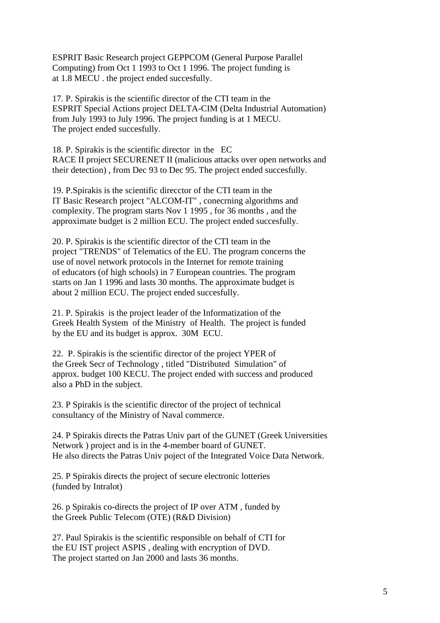ESPRIT Basic Research project GEPPCOM (General Purpose Parallel Computing) from Oct 1 1993 to Oct 1 1996. The project funding is at 1.8 MECU . the project ended succesfully.

17. P. Spirakis is the scientific director of the CTI team in the ESPRIT Special Actions project DELTA-CIM (Delta Industrial Automation) from July 1993 to July 1996. The project funding is at 1 MECU. The project ended succesfully.

18. P. Spirakis is the scientific director in the EC RACE II project SECURENET II (malicious attacks over open networks and their detection) , from Dec 93 to Dec 95. The project ended succesfully.

19. P.Spirakis is the scientific direcctor of the CTI team in the IT Basic Research project "ALCOM-IT" , conecrning algorithms and complexity. The program starts Nov 1 1995 , for 36 months , and the approximate budget is 2 million ECU. The project ended succesfully.

20. P. Spirakis is the scientific director of the CTI team in the project "TRENDS" of Telematics of the EU. The program concerns the use of novel network protocols in the Internet for remote training of educators (of high schools) in 7 European countries. The program starts on Jan 1 1996 and lasts 30 months. The approximate budget is about 2 million ECU. The project ended succesfully.

21. P. Spirakis is the project leader of the Informatization of the Greek Health System of the Ministry of Health. The project is funded by the EU and its budget is approx. 30M ECU.

22. P. Spirakis is the scientific director of the project YPER of the Greek Secr of Technology , titled "Distributed Simulation" of approx. budget 100 KECU. The project ended with success and produced also a PhD in the subject.

23. P Spirakis is the scientific director of the project of technical consultancy of the Ministry of Naval commerce.

24. P Spirakis directs the Patras Univ part of the GUNET (Greek Universities Network ) project and is in the 4-member board of GUNET. He also directs the Patras Univ poject of the Integrated Voice Data Network.

25. P Spirakis directs the project of secure electronic lotteries (funded by Intralot)

26. p Spirakis co-directs the project of IP over ATM , funded by the Greek Public Telecom (OTE) (R&D Division)

27. Paul Spirakis is the scientific responsible on behalf of CTI for the EU IST project ASPIS , dealing with encryption of DVD. The project started on Jan 2000 and lasts 36 months.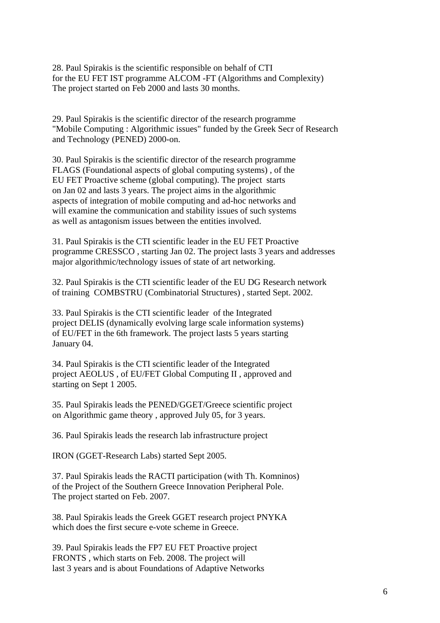28. Paul Spirakis is the scientific responsible on behalf of CTI for the EU FET IST programme ALCOM -FT (Algorithms and Complexity) The project started on Feb 2000 and lasts 30 months.

29. Paul Spirakis is the scientific director of the research programme "Mobile Computing : Algorithmic issues" funded by the Greek Secr of Research and Technology (PENED) 2000-on.

30. Paul Spirakis is the scientific director of the research programme FLAGS (Foundational aspects of global computing systems) , of the EU FET Proactive scheme (global computing). The project starts on Jan 02 and lasts 3 years. The project aims in the algorithmic aspects of integration of mobile computing and ad-hoc networks and will examine the communication and stability issues of such systems as well as antagonism issues between the entities involved.

31. Paul Spirakis is the CTI scientific leader in the EU FET Proactive programme CRESSCO , starting Jan 02. The project lasts 3 years and addresses major algorithmic/technology issues of state of art networking.

32. Paul Spirakis is the CTI scientific leader of the EU DG Research network of training COMBSTRU (Combinatorial Structures) , started Sept. 2002.

33. Paul Spirakis is the CTI scientific leader of the Integrated project DELIS (dynamically evolving large scale information systems) of EU/FET in the 6th framework. The project lasts 5 years starting January 04.

34. Paul Spirakis is the CTI scientific leader of the Integrated project AEOLUS , of EU/FET Global Computing II , approved and starting on Sept 1 2005.

35. Paul Spirakis leads the PENED/GGET/Greece scientific project on Algorithmic game theory , approved July 05, for 3 years.

36. Paul Spirakis leads the research lab infrastructure project

IRON (GGET-Research Labs) started Sept 2005.

37. Paul Spirakis leads the RACTI participation (with Th. Komninos) of the Project of the Southern Greece Innovation Peripheral Pole. The project started on Feb. 2007.

38. Paul Spirakis leads the Greek GGET research project PNYKA which does the first secure e-vote scheme in Greece.

39. Paul Spirakis leads the FP7 EU FET Proactive project FRONTS , which starts on Feb. 2008. The project will last 3 years and is about Foundations of Adaptive Networks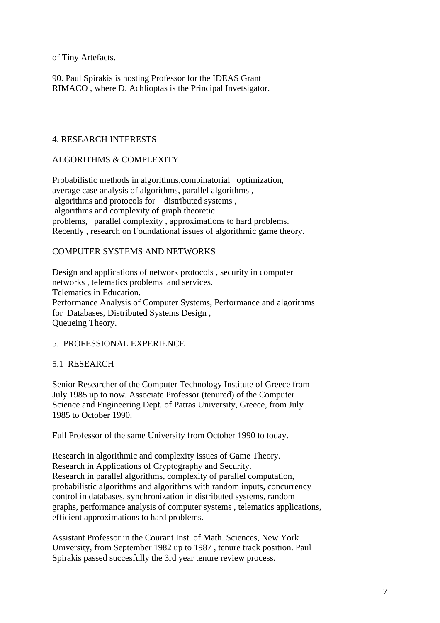of Tiny Artefacts.

90. Paul Spirakis is hosting Professor for the IDEAS Grant RIMACO , where D. Achlioptas is the Principal Invetsigator.

# 4. RESEARCH INTERESTS

# ALGORITHMS & COMPLEXITY

Probabilistic methods in algorithms,combinatorial optimization, average case analysis of algorithms, parallel algorithms , algorithms and protocols for distributed systems , algorithms and complexity of graph theoretic problems, parallel complexity , approximations to hard problems. Recently , research on Foundational issues of algorithmic game theory.

# COMPUTER SYSTEMS AND NETWORKS

Design and applications of network protocols , security in computer networks , telematics problems and services. Telematics in Education. Performance Analysis of Computer Systems, Performance and algorithms for Databases, Distributed Systems Design , Queueing Theory.

#### 5. PROFESSIONAL EXPERIENCE

# 5.1 RESEARCH

Senior Researcher of the Computer Technology Institute of Greece from July 1985 up to now. Associate Professor (tenured) of the Computer Science and Engineering Dept. of Patras University, Greece, from July 1985 to October 1990.

Full Professor of the same University from October 1990 to today.

Research in algorithmic and complexity issues of Game Theory. Research in Applications of Cryptography and Security. Research in parallel algorithms, complexity of parallel computation, probabilistic algorithms and algorithms with random inputs, concurrency control in databases, synchronization in distributed systems, random graphs, performance analysis of computer systems , telematics applications, efficient approximations to hard problems.

Assistant Professor in the Courant Inst. of Math. Sciences, New York University, from September 1982 up to 1987 , tenure track position. Paul Spirakis passed succesfully the 3rd year tenure review process.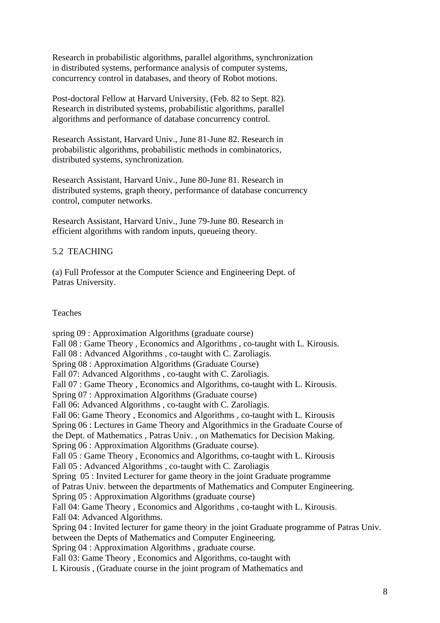Research in probabilistic algorithms, parallel algorithms, synchronization in distributed systems, performance analysis of computer systems, concurrency control in databases, and theory of Robot motions.

Post-doctoral Fellow at Harvard University, (Feb. 82 to Sept. 82). Research in distributed systems, probabilistic algorithms, parallel algorithms and performance of database concurrency control.

Research Assistant, Harvard Univ., June 81-June 82. Research in probabilistic algorithms, probabilistic methods in combinatorics, distributed systems, synchronization.

Research Assistant, Harvard Univ., June 80-June 81. Research in distributed systems, graph theory, performance of database concurrency control, computer networks.

Research Assistant, Harvard Univ., June 79-June 80. Research in efficient algorithms with random inputs, queueing theory.

# 5.2 TEACHING

(a) Full Professor at the Computer Science and Engineering Dept. of Patras University.

## Teaches

spring 09 : Approximation Algorithms (graduate course) Fall 08 : Game Theory , Economics and Algorithms , co-taught with L. Kirousis. Fall 08 : Advanced Algorithms , co-taught with C. Zaroliagis. Spring 08 : Approximation Algorithms (Graduate Course) Fall 07: Advanced Algorithms , co-taught with C. Zaroliagis. Fall 07 : Game Theory , Economics and Algorithms, co-taught with L. Kirousis. Spring 07 : Approximation Algorithms (Graduate course) Fall 06: Advanced Algorithms , co-taught with C. Zaroliagis. Fall 06: Game Theory , Economics and Algorithms , co-taught with L. Kirousis Spring 06 : Lectures in Game Theory and Algorithmics in the Graduate Course of the Dept. of Mathematics , Patras Univ. , on Mathematics for Decision Making. Spring 06 : Approximation Algorithms (Graduate course). Fall 05 : Game Theory , Economics and Algorithms, co-taught with L. Kirousis Fall 05 : Advanced Algorithms , co-taught with C. Zaroliagis Spring 05 : Invited Lecturer for game theory in the joint Graduate programme of Patras Univ. between the departments of Mathematics and Computer Engineering. Spring 05 : Approximation Algorithms (graduate course) Fall 04: Game Theory , Economics and Algorithms , co-taught with L. Kirousis. Fall 04: Advanced Algorithms. Spring 04 : Invited lecturer for game theory in the joint Graduate programme of Patras Univ. between the Depts of Mathematics and Computer Engineering. Spring 04 : Approximation Algorithms , graduate course. Fall 03: Game Theory , Economics and Algorithms, co-taught with L Kirousis , (Graduate course in the joint program of Mathematics and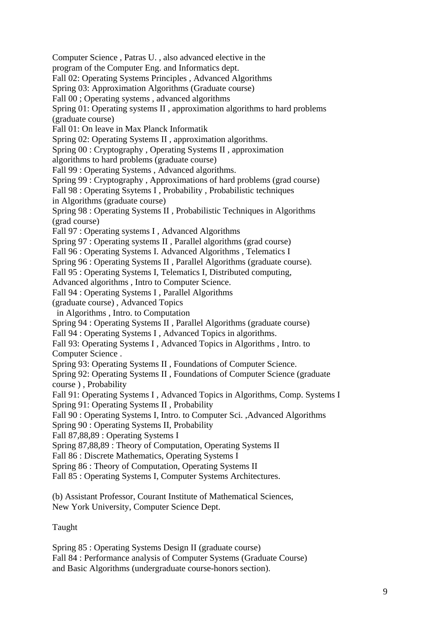Computer Science , Patras U. , also advanced elective in the program of the Computer Eng. and Informatics dept. Fall 02: Operating Systems Principles , Advanced Algorithms Spring 03: Approximation Algorithms (Graduate course) Fall 00 ; Operating systems , advanced algorithms Spring 01: Operating systems II , approximation algorithms to hard problems (graduate course) Fall 01: On leave in Max Planck Informatik Spring 02: Operating Systems II , approximation algorithms. Spring 00 : Cryptography , Operating Systems II , approximation algorithms to hard problems (graduate course) Fall 99 : Operating Systems , Advanced algorithms. Spring 99 : Cryptography , Approximations of hard problems (grad course) Fall 98 : Operating Ssytems I , Probability , Probabilistic techniques in Algorithms (graduate course) Spring 98 : Operating Systems II , Probabilistic Techniques in Algorithms (grad course) Fall 97 : Operating systems I , Advanced Algorithms Spring 97 : Operating systems II , Parallel algorithms (grad course) Fall 96 : Operating Systems I. Advanced Algorithms , Telematics I Spring 96 : Operating Systems II , Parallel Algorithms (graduate course). Fall 95 : Operating Systems I, Telematics I, Distributed computing, Advanced algorithms , Intro to Computer Science. Fall 94 : Operating Systems I , Parallel Algorithms (graduate course) , Advanced Topics in Algorithms , Intro. to Computation Spring 94 : Operating Systems II , Parallel Algorithms (graduate course) Fall 94 : Operating Systems I, Advanced Topics in algorithms. Fall 93: Operating Systems I , Advanced Topics in Algorithms , Intro. to Computer Science . Spring 93: Operating Systems II , Foundations of Computer Science. Spring 92: Operating Systems II , Foundations of Computer Science (graduate course ) , Probability Fall 91: Operating Systems I , Advanced Topics in Algorithms, Comp. Systems I Spring 91: Operating Systems II , Probability Fall 90 : Operating Systems I, Intro. to Computer Sci. ,Advanced Algorithms Spring 90 : Operating Systems II, Probability Fall 87,88,89 : Operating Systems I Spring 87,88,89 : Theory of Computation, Operating Systems II Fall 86 : Discrete Mathematics, Operating Systems I Spring 86 : Theory of Computation, Operating Systems II Fall 85 : Operating Systems I, Computer Systems Architectures.

(b) Assistant Professor, Courant Institute of Mathematical Sciences, New York University, Computer Science Dept.

Taught

Spring 85 : Operating Systems Design II (graduate course) Fall 84 : Performance analysis of Computer Systems (Graduate Course) and Basic Algorithms (undergraduate course-honors section).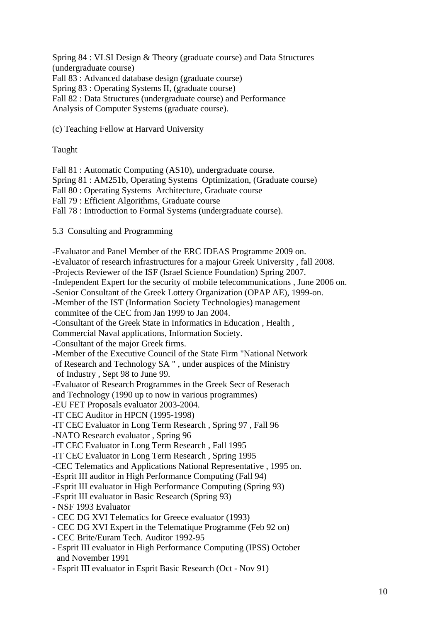Spring 84 : VLSI Design & Theory (graduate course) and Data Structures (undergraduate course) Fall 83 : Advanced database design (graduate course) Spring 83 : Operating Systems II, (graduate course) Fall 82 : Data Structures (undergraduate course) and Performance Analysis of Computer Systems (graduate course).

(c) Teaching Fellow at Harvard University

#### Taught

Fall 81 : Automatic Computing (AS10), undergraduate course. Spring 81 : AM251b, Operating Systems Optimization, (Graduate course) Fall 80 : Operating Systems Architecture, Graduate course Fall 79 : Efficient Algorithms, Graduate course Fall 78 : Introduction to Formal Systems (undergraduate course).

5.3 Consulting and Programming

-Evaluator and Panel Member of the ERC IDEAS Programme 2009 on. -Evaluator of research infrastructures for a majour Greek University , fall 2008. -Projects Reviewer of the ISF (Israel Science Foundation) Spring 2007. -Independent Expert for the security of mobile telecommunications , June 2006 on. -Senior Consultant of the Greek Lottery Organization (OPAP AE), 1999-on. -Member of the IST (Information Society Technologies) management commitee of the CEC from Jan 1999 to Jan 2004. -Consultant of the Greek State in Informatics in Education , Health , Commercial Naval applications, Information Society. -Consultant of the major Greek firms. -Member of the Executive Council of the State Firm "National Network of Research and Technology SA " , under auspices of the Ministry of Industry , Sept 98 to June 99. -Evaluator of Research Programmes in the Greek Secr of Reserach and Technology (1990 up to now in various programmes) -EU FET Proposals evaluator 2003-2004. -IT CEC Auditor in HPCN (1995-1998) -IT CEC Evaluator in Long Term Research , Spring 97 , Fall 96 -NATO Research evaluator , Spring 96 -IT CEC Evaluator in Long Term Research , Fall 1995 -IT CEC Evaluator in Long Term Research , Spring 1995 -CEC Telematics and Applications National Representative , 1995 on. -Esprit III auditor in High Performance Computing (Fall 94) -Esprit III evaluator in High Performance Computing (Spring 93) -Esprit III evaluator in Basic Research (Spring 93) - NSF 1993 Evaluator - CEC DG XVI Telematics for Greece evaluator (1993) - CEC DG XVI Expert in the Telematique Programme (Feb 92 on) - CEC Brite/Euram Tech. Auditor 1992-95 - Esprit III evaluator in High Performance Computing (IPSS) October and November 1991 - Esprit III evaluator in Esprit Basic Research (Oct - Nov 91)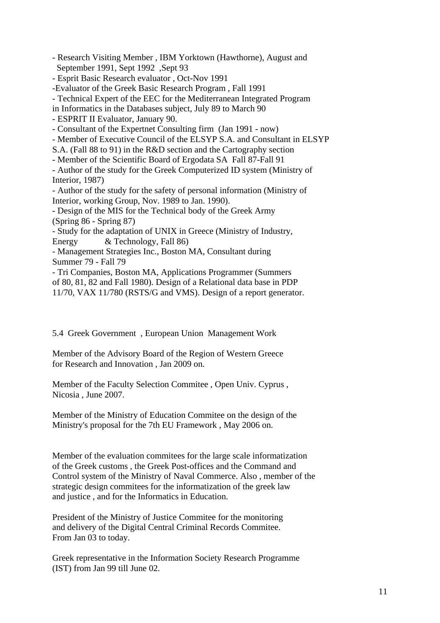- Research Visiting Member , IBM Yorktown (Hawthorne), August and September 1991, Sept 1992 ,Sept 93

- Esprit Basic Research evaluator , Oct-Nov 1991

-Evaluator of the Greek Basic Research Program , Fall 1991

- Technical Expert of the EEC for the Mediterranean Integrated Program

in Informatics in the Databases subject, July 89 to March 90

- ESPRIT II Evaluator, January 90.

- Consultant of the Expertnet Consulting firm (Jan 1991 - now)

- Member of Executive Council of the ELSYP S.A. and Consultant in ELSYP

S.A. (Fall 88 to 91) in the R&D section and the Cartography section

- Member of the Scientific Board of Ergodata SA Fall 87-Fall 91

- Author of the study for the Greek Computerized ID system (Ministry of Interior, 1987)

- Author of the study for the safety of personal information (Ministry of Interior, working Group, Nov. 1989 to Jan. 1990).

- Design of the MIS for the Technical body of the Greek Army (Spring 86 - Spring 87)

- Study for the adaptation of UNIX in Greece (Ministry of Industry, Energy & Technology, Fall 86)

- Management Strategies Inc., Boston MA, Consultant during Summer 79 - Fall 79

- Tri Companies, Boston MA, Applications Programmer (Summers of 80, 81, 82 and Fall 1980). Design of a Relational data base in PDP 11/70, VAX 11/780 (RSTS/G and VMS). Design of a report generator.

5.4 Greek Government , European Union Management Work

Member of the Advisory Board of the Region of Western Greece for Research and Innovation , Jan 2009 on.

Member of the Faculty Selection Commitee , Open Univ. Cyprus , Nicosia , June 2007.

Member of the Ministry of Education Commitee on the design of the Ministry's proposal for the 7th EU Framework , May 2006 on.

Member of the evaluation commitees for the large scale informatization of the Greek customs , the Greek Post-offices and the Command and Control system of the Ministry of Naval Commerce. Also , member of the strategic design commitees for the informatization of the greek law and justice , and for the Informatics in Education.

President of the Ministry of Justice Commitee for the monitoring and delivery of the Digital Central Criminal Records Commitee. From Jan 03 to today.

Greek representative in the Information Society Research Programme (IST) from Jan 99 till June 02.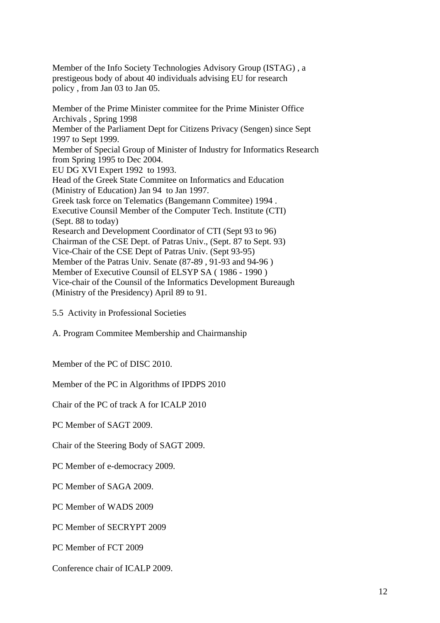Member of the Info Society Technologies Advisory Group (ISTAG) , a prestigeous body of about 40 individuals advising EU for research policy , from Jan 03 to Jan 05.

Member of the Prime Minister commitee for the Prime Minister Office Archivals , Spring 1998 Member of the Parliament Dept for Citizens Privacy (Sengen) since Sept 1997 to Sept 1999. Member of Special Group of Minister of Industry for Informatics Research from Spring 1995 to Dec 2004. EU DG XVI Expert 1992 to 1993. Head of the Greek State Commitee on Informatics and Education (Ministry of Education) Jan 94 to Jan 1997. Greek task force on Telematics (Bangemann Commitee) 1994 . Executive Counsil Member of the Computer Tech. Institute (CTI) (Sept. 88 to today) Research and Development Coordinator of CTI (Sept 93 to 96) Chairman of the CSE Dept. of Patras Univ., (Sept. 87 to Sept. 93) Vice-Chair of the CSE Dept of Patras Univ. (Sept 93-95) Member of the Patras Univ. Senate (87-89 , 91-93 and 94-96 ) Member of Executive Counsil of ELSYP SA ( 1986 - 1990 ) Vice-chair of the Counsil of the Informatics Development Bureaugh (Ministry of the Presidency) April 89 to 91.

5.5 Activity in Professional Societies

A. Program Commitee Membership and Chairmanship

Member of the PC of DISC 2010.

Member of the PC in Algorithms of IPDPS 2010

Chair of the PC of track A for ICALP 2010

PC Member of SAGT 2009.

Chair of the Steering Body of SAGT 2009.

PC Member of e-democracy 2009.

PC Member of SAGA 2009.

PC Member of WADS 2009

PC Member of SECRYPT 2009

PC Member of FCT 2009

Conference chair of ICALP 2009.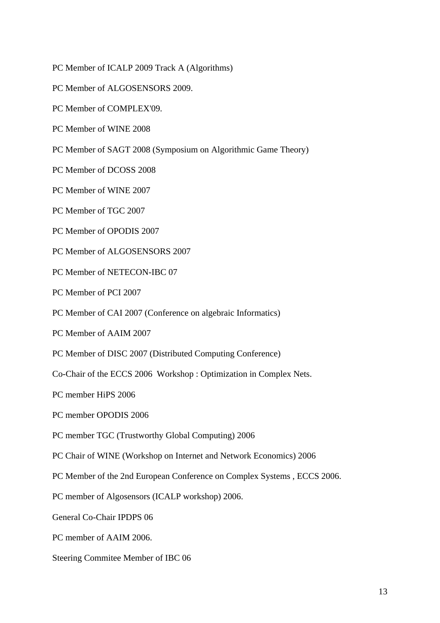PC Member of ICALP 2009 Track A (Algorithms)

- PC Member of ALGOSENSORS 2009.
- PC Member of COMPLEX'09.
- PC Member of WINE 2008
- PC Member of SAGT 2008 (Symposium on Algorithmic Game Theory)
- PC Member of DCOSS 2008
- PC Member of WINE 2007
- PC Member of TGC 2007
- PC Member of OPODIS 2007
- PC Member of ALGOSENSORS 2007
- PC Member of NETECON-IBC 07
- PC Member of PCI 2007
- PC Member of CAI 2007 (Conference on algebraic Informatics)
- PC Member of AAIM 2007
- PC Member of DISC 2007 (Distributed Computing Conference)
- Co-Chair of the ECCS 2006 Workshop : Optimization in Complex Nets.
- PC member HiPS 2006
- PC member OPODIS 2006
- PC member TGC (Trustworthy Global Computing) 2006
- PC Chair of WINE (Workshop on Internet and Network Economics) 2006
- PC Member of the 2nd European Conference on Complex Systems , ECCS 2006.
- PC member of Algosensors (ICALP workshop) 2006.
- General Co-Chair IPDPS 06
- PC member of AAIM 2006.
- Steering Commitee Member of IBC 06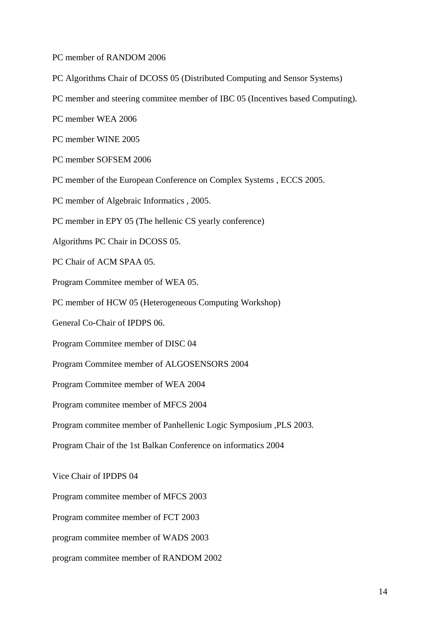PC member of RANDOM 2006

PC Algorithms Chair of DCOSS 05 (Distributed Computing and Sensor Systems)

PC member and steering commitee member of IBC 05 (Incentives based Computing).

PC member WEA 2006

PC member WINE 2005

PC member SOFSEM 2006

PC member of the European Conference on Complex Systems , ECCS 2005.

PC member of Algebraic Informatics , 2005.

PC member in EPY 05 (The hellenic CS yearly conference)

Algorithms PC Chair in DCOSS 05.

PC Chair of ACM SPAA 05.

Program Commitee member of WEA 05.

PC member of HCW 05 (Heterogeneous Computing Workshop)

General Co-Chair of IPDPS 06.

Program Commitee member of DISC 04

Program Commitee member of ALGOSENSORS 2004

Program Commitee member of WEA 2004

Program commitee member of MFCS 2004

Program commitee member of Panhellenic Logic Symposium ,PLS 2003.

Program Chair of the 1st Balkan Conference on informatics 2004

Vice Chair of IPDPS 04

Program commitee member of MFCS 2003

Program commitee member of FCT 2003

program commitee member of WADS 2003

program commitee member of RANDOM 2002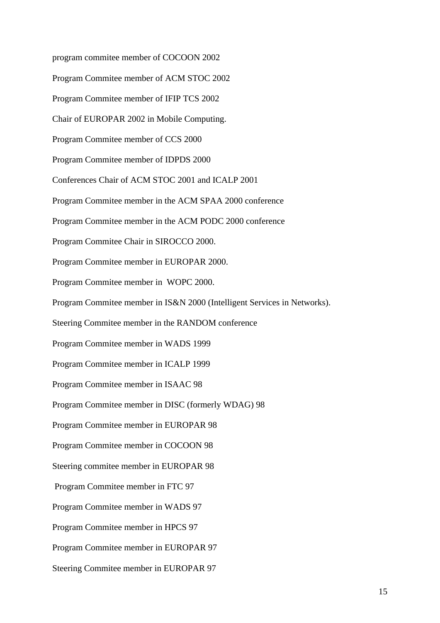program commitee member of COCOON 2002

Program Commitee member of ACM STOC 2002

Program Commitee member of IFIP TCS 2002

Chair of EUROPAR 2002 in Mobile Computing.

Program Commitee member of CCS 2000

Program Commitee member of IDPDS 2000

Conferences Chair of ACM STOC 2001 and ICALP 2001

Program Commitee member in the ACM SPAA 2000 conference

Program Commitee member in the ACM PODC 2000 conference

Program Commitee Chair in SIROCCO 2000.

Program Commitee member in EUROPAR 2000.

Program Commitee member in WOPC 2000.

Program Commitee member in IS&N 2000 (Intelligent Services in Networks).

Steering Commitee member in the RANDOM conference

Program Commitee member in WADS 1999

Program Commitee member in ICALP 1999

Program Commitee member in ISAAC 98

Program Commitee member in DISC (formerly WDAG) 98

Program Commitee member in EUROPAR 98

Program Commitee member in COCOON 98

Steering commitee member in EUROPAR 98

Program Commitee member in FTC 97

Program Commitee member in WADS 97

Program Commitee member in HPCS 97

Program Commitee member in EUROPAR 97

Steering Commitee member in EUROPAR 97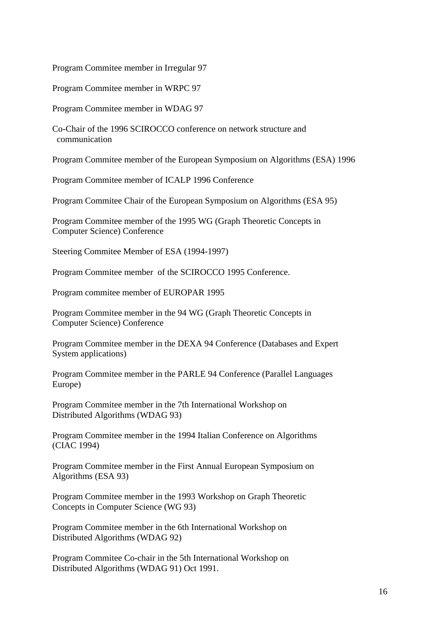Program Commitee member in Irregular 97

Program Commitee member in WRPC 97

Program Commitee member in WDAG 97

Co-Chair of the 1996 SCIROCCO conference on network structure and communication

Program Commitee member of the European Symposium on Algorithms (ESA) 1996

Program Commitee member of ICALP 1996 Conference

Program Commitee Chair of the European Symposium on Algorithms (ESA 95)

Program Commitee member of the 1995 WG (Graph Theoretic Concepts in Computer Science) Conference

Steering Commitee Member of ESA (1994-1997)

Program Commitee member of the SCIROCCO 1995 Conference.

Program commitee member of EUROPAR 1995

Program Commitee member in the 94 WG (Graph Theoretic Concepts in Computer Science) Conference

Program Commitee member in the DEXA 94 Conference (Databases and Expert System applications)

Program Commitee member in the PARLE 94 Conference (Parallel Languages Europe)

Program Commitee member in the 7th International Workshop on Distributed Algorithms (WDAG 93)

Program Commitee member in the 1994 Italian Conference on Algorithms (CIAC 1994)

Program Commitee member in the First Annual European Symposium on Algorithms (ESA 93)

Program Commitee member in the 1993 Workshop on Graph Theoretic Concepts in Computer Science (WG 93)

Program Commitee member in the 6th International Workshop on Distributed Algorithms (WDAG 92)

Program Commitee Co-chair in the 5th International Workshop on Distributed Algorithms (WDAG 91) Oct 1991.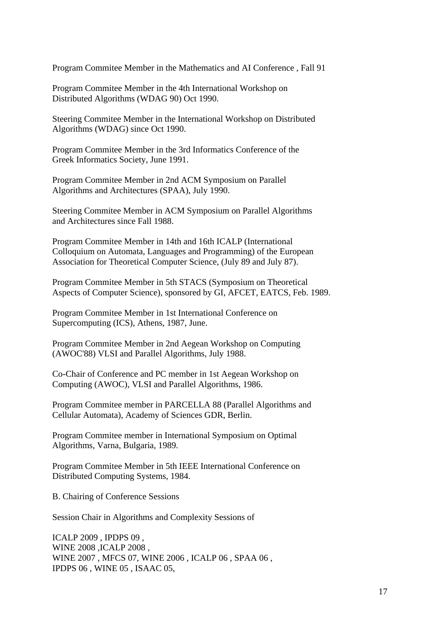Program Commitee Member in the Mathematics and AI Conference , Fall 91

Program Commitee Member in the 4th International Workshop on Distributed Algorithms (WDAG 90) Oct 1990.

Steering Commitee Member in the International Workshop on Distributed Algorithms (WDAG) since Oct 1990.

Program Commitee Member in the 3rd Informatics Conference of the Greek Informatics Society, June 1991.

Program Commitee Member in 2nd ACM Symposium on Parallel Algorithms and Architectures (SPAA), July 1990.

Steering Commitee Member in ACM Symposium on Parallel Algorithms and Architectures since Fall 1988.

Program Commitee Member in 14th and 16th ICALP (International Colloquium on Automata, Languages and Programming) of the European Association for Theoretical Computer Science, (July 89 and July 87).

Program Commitee Member in 5th STACS (Symposium on Theoretical Aspects of Computer Science), sponsored by GI, AFCET, EATCS, Feb. 1989.

Program Commitee Member in 1st International Conference on Supercomputing (ICS), Athens, 1987, June.

Program Commitee Member in 2nd Aegean Workshop on Computing (AWOC'88) VLSI and Parallel Algorithms, July 1988.

Co-Chair of Conference and PC member in 1st Aegean Workshop on Computing (AWOC), VLSI and Parallel Algorithms, 1986.

Program Commitee member in PARCELLA 88 (Parallel Algorithms and Cellular Automata), Academy of Sciences GDR, Berlin.

Program Commitee member in International Symposium on Optimal Algorithms, Varna, Bulgaria, 1989.

Program Commitee Member in 5th IEEE International Conference on Distributed Computing Systems, 1984.

B. Chairing of Conference Sessions

Session Chair in Algorithms and Complexity Sessions of

ICALP 2009 , IPDPS 09 , WINE 2008 ,ICALP 2008 , WINE 2007 , MFCS 07, WINE 2006 , ICALP 06 , SPAA 06 , IPDPS 06 , WINE 05 , ISAAC 05,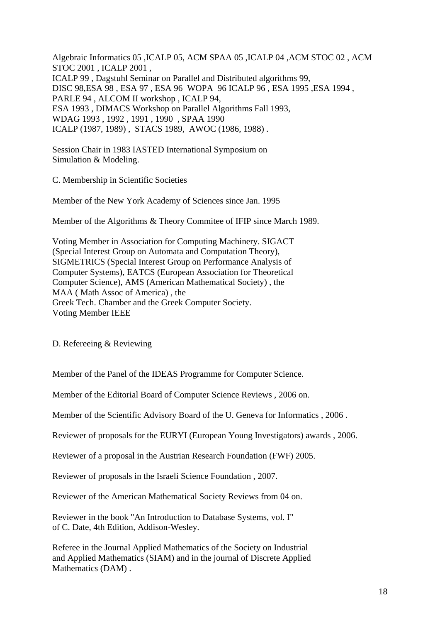Algebraic Informatics 05 ,ICALP 05, ACM SPAA 05 ,ICALP 04 ,ACM STOC 02 , ACM STOC 2001 , ICALP 2001 , ICALP 99 , Dagstuhl Seminar on Parallel and Distributed algorithms 99, DISC 98,ESA 98 , ESA 97 , ESA 96 WOPA 96 ICALP 96 , ESA 1995 ,ESA 1994 , PARLE 94 , ALCOM II workshop , ICALP 94, ESA 1993 , DIMACS Workshop on Parallel Algorithms Fall 1993, WDAG 1993 , 1992 , 1991 , 1990 , SPAA 1990 ICALP (1987, 1989) , STACS 1989, AWOC (1986, 1988) .

Session Chair in 1983 IASTED International Symposium on Simulation & Modeling.

C. Membership in Scientific Societies

Member of the New York Academy of Sciences since Jan. 1995

Member of the Algorithms & Theory Commitee of IFIP since March 1989.

Voting Member in Association for Computing Machinery. SIGACT (Special Interest Group on Automata and Computation Theory), SIGMETRICS (Special Interest Group on Performance Analysis of Computer Systems), EATCS (European Association for Theoretical Computer Science), AMS (American Mathematical Society) , the MAA ( Math Assoc of America) , the Greek Tech. Chamber and the Greek Computer Society. Voting Member IEEE

D. Refereeing & Reviewing

Member of the Panel of the IDEAS Programme for Computer Science.

Member of the Editorial Board of Computer Science Reviews , 2006 on.

Member of the Scientific Advisory Board of the U. Geneva for Informatics , 2006 .

Reviewer of proposals for the EURYI (European Young Investigators) awards , 2006.

Reviewer of a proposal in the Austrian Research Foundation (FWF) 2005.

Reviewer of proposals in the Israeli Science Foundation , 2007.

Reviewer of the American Mathematical Society Reviews from 04 on.

Reviewer in the book "An Introduction to Database Systems, vol. I" of C. Date, 4th Edition, Addison-Wesley.

Referee in the Journal Applied Mathematics of the Society on Industrial and Applied Mathematics (SIAM) and in the journal of Discrete Applied Mathematics (DAM) .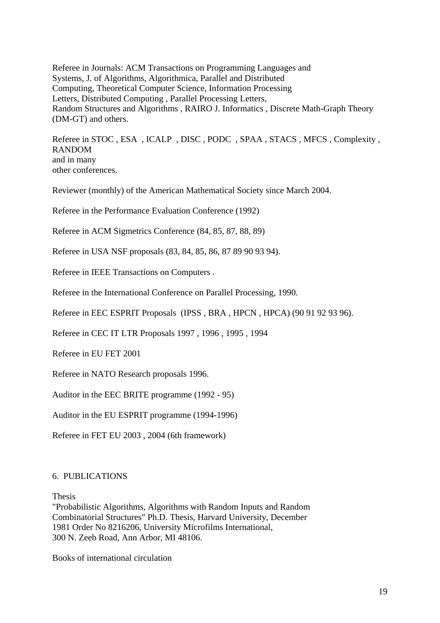Referee in Journals: ACM Transactions on Programming Languages and Systems, J. of Algorithms, Algorithmica, Parallel and Distributed Computing, Theoretical Computer Science, Information Processing Letters, Distributed Computing , Parallel Processing Letters, Random Structures and Algorithms , RAIRO J. Informatics , Discrete Math-Graph Theory (DM-GT) and others.

Referee in STOC , ESA , ICALP , DISC , PODC , SPAA , STACS , MFCS , Complexity , RANDOM and in many other conferences.

Reviewer (monthly) of the American Mathematical Society since March 2004.

Referee in the Performance Evaluation Conference (1992)

Referee in ACM Sigmetrics Conference (84, 85, 87, 88, 89)

Referee in USA NSF proposals (83, 84, 85, 86, 87 89 90 93 94).

Referee in IEEE Transactions on Computers .

Referee in the International Conference on Parallel Processing, 1990.

Referee in EEC ESPRIT Proposals (IPSS , BRA , HPCN , HPCA) (90 91 92 93 96).

Referee in CEC IT LTR Proposals 1997 , 1996 , 1995 , 1994

Referee in EU FET 2001

Referee in NATO Research proposals 1996.

Auditor in the EEC BRITE programme (1992 - 95)

Auditor in the EU ESPRIT programme (1994-1996)

Referee in FET EU 2003 , 2004 (6th framework)

#### 6. PUBLICATIONS

Thesis

"Probabilistic Algorithms, Algorithms with Random Inputs and Random Combinatorial Structures" Ph.D. Thesis, Harvard University, December 1981 Order No 8216206, University Microfilms International, 300 N. Zeeb Road, Ann Arbor, MI 48106.

Books of international circulation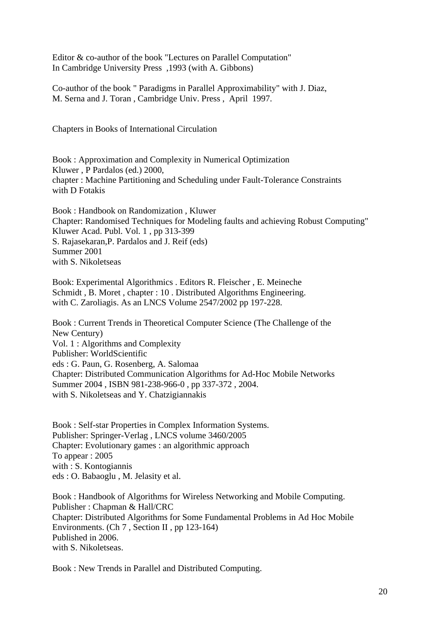Editor & co-author of the book "Lectures on Parallel Computation" In Cambridge University Press ,1993 (with A. Gibbons)

Co-author of the book " Paradigms in Parallel Approximability" with J. Diaz, M. Serna and J. Toran , Cambridge Univ. Press , April 1997.

Chapters in Books of International Circulation

Book : Approximation and Complexity in Numerical Optimization Kluwer , P Pardalos (ed.) 2000, chapter : Machine Partitioning and Scheduling under Fault-Tolerance Constraints with D Fotakis

Book : Handbook on Randomization , Kluwer Chapter: Randomised Techniques for Modeling faults and achieving Robust Computing" Kluwer Acad. Publ. Vol. 1 , pp 313-399 S. Rajasekaran,P. Pardalos and J. Reif (eds) Summer 2001 with S. Nikoletseas

Book: Experimental Algorithmics . Editors R. Fleischer , E. Meineche Schmidt , B. Moret , chapter : 10 . Distributed Algorithms Engineering. with C. Zaroliagis. As an LNCS Volume 2547/2002 pp 197-228.

Book : Current Trends in Theoretical Computer Science (The Challenge of the New Century) Vol. 1 : Algorithms and Complexity Publisher: WorldScientific eds : G. Paun, G. Rosenberg, A. Salomaa Chapter: Distributed Communication Algorithms for Ad-Hoc Mobile Networks Summer 2004 , ISBN 981-238-966-0 , pp 337-372 , 2004. with S. Nikoletseas and Y. Chatzigiannakis

Book : Self-star Properties in Complex Information Systems. Publisher: Springer-Verlag , LNCS volume 3460/2005 Chapter: Evolutionary games : an algorithmic approach To appear : 2005 with : S. Kontogiannis eds : O. Babaoglu , M. Jelasity et al.

Book : Handbook of Algorithms for Wireless Networking and Mobile Computing. Publisher : Chapman & Hall/CRC Chapter: Distributed Algorithms for Some Fundamental Problems in Ad Hoc Mobile Environments. (Ch 7 , Section II , pp 123-164) Published in 2006. with S. Nikoletseas.

Book : New Trends in Parallel and Distributed Computing.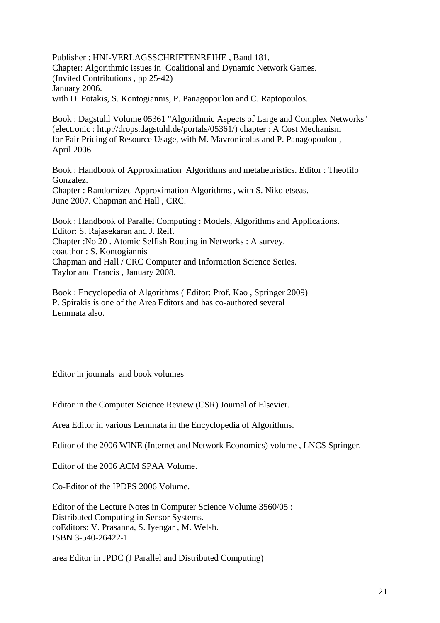Publisher : HNI-VERLAGSSCHRIFTENREIHE , Band 181. Chapter: Algorithmic issues in Coalitional and Dynamic Network Games. (Invited Contributions , pp 25-42) January 2006. with D. Fotakis, S. Kontogiannis, P. Panagopoulou and C. Raptopoulos.

Book : Dagstuhl Volume 05361 "Algorithmic Aspects of Large and Complex Networks" (electronic : http://drops.dagstuhl.de/portals/05361/) chapter : A Cost Mechanism for Fair Pricing of Resource Usage, with M. Mavronicolas and P. Panagopoulou , April 2006.

Book : Handbook of Approximation Algorithms and metaheuristics. Editor : Theofilo Gonzalez. Chapter : Randomized Approximation Algorithms , with S. Nikoletseas. June 2007. Chapman and Hall , CRC.

Book : Handbook of Parallel Computing : Models, Algorithms and Applications. Editor: S. Rajasekaran and J. Reif. Chapter :No 20 . Atomic Selfish Routing in Networks : A survey. coauthor : S. Kontogiannis Chapman and Hall / CRC Computer and Information Science Series. Taylor and Francis , January 2008.

Book : Encyclopedia of Algorithms ( Editor: Prof. Kao , Springer 2009) P. Spirakis is one of the Area Editors and has co-authored several Lemmata also.

Editor in journals and book volumes

Editor in the Computer Science Review (CSR) Journal of Elsevier.

Area Editor in various Lemmata in the Encyclopedia of Algorithms.

Editor of the 2006 WINE (Internet and Network Economics) volume , LNCS Springer.

Editor of the 2006 ACM SPAA Volume.

Co-Editor of the IPDPS 2006 Volume.

Editor of the Lecture Notes in Computer Science Volume 3560/05 : Distributed Computing in Sensor Systems. coEditors: V. Prasanna, S. Iyengar , M. Welsh. ISBN 3-540-26422-1

area Editor in JPDC (J Parallel and Distributed Computing)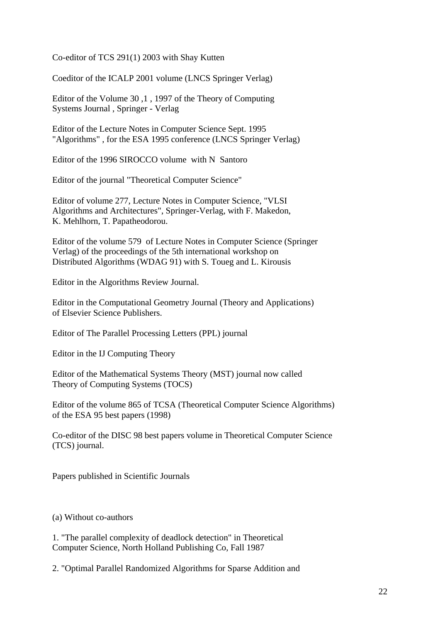Co-editor of TCS 291(1) 2003 with Shay Kutten

Coeditor of the ICALP 2001 volume (LNCS Springer Verlag)

Editor of the Volume 30 ,1 , 1997 of the Theory of Computing Systems Journal , Springer - Verlag

Editor of the Lecture Notes in Computer Science Sept. 1995 "Algorithms" , for the ESA 1995 conference (LNCS Springer Verlag)

Editor of the 1996 SIROCCO volume with N Santoro

Editor of the journal "Theoretical Computer Science"

Editor of volume 277, Lecture Notes in Computer Science, "VLSI Algorithms and Architectures", Springer-Verlag, with F. Makedon, K. Mehlhorn, T. Papatheodorou.

Editor of the volume 579 of Lecture Notes in Computer Science (Springer Verlag) of the proceedings of the 5th international workshop on Distributed Algorithms (WDAG 91) with S. Toueg and L. Kirousis

Editor in the Algorithms Review Journal.

Editor in the Computational Geometry Journal (Theory and Applications) of Elsevier Science Publishers.

Editor of The Parallel Processing Letters (PPL) journal

Editor in the IJ Computing Theory

Editor of the Mathematical Systems Theory (MST) journal now called Theory of Computing Systems (TOCS)

Editor of the volume 865 of TCSA (Theoretical Computer Science Algorithms) of the ESA 95 best papers (1998)

Co-editor of the DISC 98 best papers volume in Theoretical Computer Science (TCS) journal.

Papers published in Scientific Journals

(a) Without co-authors

1. "The parallel complexity of deadlock detection" in Theoretical Computer Science, North Holland Publishing Co, Fall 1987

2. "Optimal Parallel Randomized Algorithms for Sparse Addition and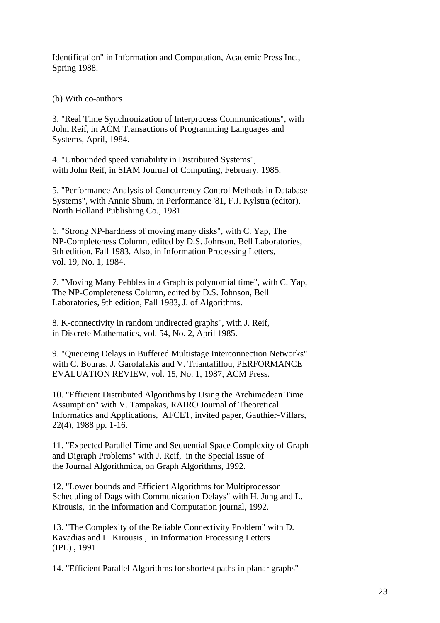Identification" in Information and Computation, Academic Press Inc., Spring 1988.

(b) With co-authors

3. "Real Time Synchronization of Interprocess Communications", with John Reif, in ACM Transactions of Programming Languages and Systems, April, 1984.

4. "Unbounded speed variability in Distributed Systems", with John Reif, in SIAM Journal of Computing, February, 1985.

5. "Performance Analysis of Concurrency Control Methods in Database Systems", with Annie Shum, in Performance '81, F.J. Kylstra (editor), North Holland Publishing Co., 1981.

6. "Strong NP-hardness of moving many disks", with C. Yap, The NP-Completeness Column, edited by D.S. Johnson, Bell Laboratories, 9th edition, Fall 1983. Also, in Information Processing Letters, vol. 19, No. 1, 1984.

7. "Moving Many Pebbles in a Graph is polynomial time", with C. Yap, The NP-Completeness Column, edited by D.S. Johnson, Bell Laboratories, 9th edition, Fall 1983, J. of Algorithms.

8. K-connectivity in random undirected graphs", with J. Reif, in Discrete Mathematics, vol. 54, No. 2, April 1985.

9. "Queueing Delays in Buffered Multistage Interconnection Networks" with C. Bouras, J. Garofalakis and V. Triantafillou, PERFORMANCE EVALUATION REVIEW, vol. 15, No. 1, 1987, ACM Press.

10. "Efficient Distributed Algorithms by Using the Archimedean Time Assumption" with V. Tampakas, RAIRO Journal of Theoretical Informatics and Applications, AFCET, invited paper, Gauthier-Villars, 22(4), 1988 pp. 1-16.

11. "Expected Parallel Time and Sequential Space Complexity of Graph and Digraph Problems" with J. Reif, in the Special Issue of the Journal Algorithmica, on Graph Algorithms, 1992.

12. "Lower bounds and Efficient Algorithms for Multiprocessor Scheduling of Dags with Communication Delays" with H. Jung and L. Kirousis, in the Information and Computation journal, 1992.

13. "The Complexity of the Reliable Connectivity Problem" with D. Kavadias and L. Kirousis , in Information Processing Letters (IPL) , 1991

14. "Efficient Parallel Algorithms for shortest paths in planar graphs"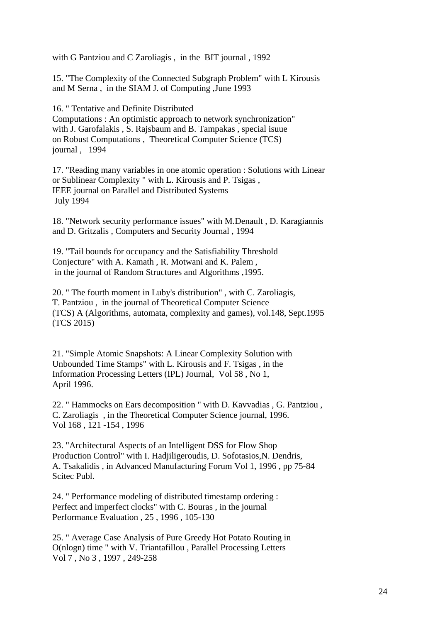with G Pantziou and C Zaroliagis , in the BIT journal , 1992

15. "The Complexity of the Connected Subgraph Problem" with L Kirousis and M Serna , in the SIAM J. of Computing ,June 1993

16. " Tentative and Definite Distributed

Computations : An optimistic approach to network synchronization" with J. Garofalakis , S. Rajsbaum and B. Tampakas , special isuue on Robust Computations , Theoretical Computer Science (TCS) journal , 1994

17. "Reading many variables in one atomic operation : Solutions with Linear or Sublinear Complexity " with L. Kirousis and P. Tsigas , IEEE journal on Parallel and Distributed Systems July 1994

18. "Network security performance issues" with M.Denault , D. Karagiannis and D. Gritzalis , Computers and Security Journal , 1994

19. "Tail bounds for occupancy and the Satisfiability Threshold Conjecture" with A. Kamath , R. Motwani and K. Palem , in the journal of Random Structures and Algorithms ,1995.

20. " The fourth moment in Luby's distribution" , with C. Zaroliagis, T. Pantziou , in the journal of Theoretical Computer Science (TCS) A (Algorithms, automata, complexity and games), vol.148, Sept.1995 (TCS 2015)

21. "Simple Atomic Snapshots: A Linear Complexity Solution with Unbounded Time Stamps" with L. Kirousis and F. Tsigas , in the Information Processing Letters (IPL) Journal, Vol 58 , No 1, April 1996.

22. " Hammocks on Ears decomposition " with D. Kavvadias , G. Pantziou , C. Zaroliagis , in the Theoretical Computer Science journal, 1996. Vol 168 , 121 -154 , 1996

23. "Architectural Aspects of an Intelligent DSS for Flow Shop Production Control" with I. Hadjiligeroudis, D. Sofotasios,N. Dendris, A. Tsakalidis , in Advanced Manufacturing Forum Vol 1, 1996 , pp 75-84 Scitec Publ.

24. " Performance modeling of distributed timestamp ordering : Perfect and imperfect clocks" with C. Bouras , in the journal Performance Evaluation , 25 , 1996 , 105-130

25. " Average Case Analysis of Pure Greedy Hot Potato Routing in O(nlogn) time " with V. Triantafillou , Parallel Processing Letters Vol 7 , No 3 , 1997 , 249-258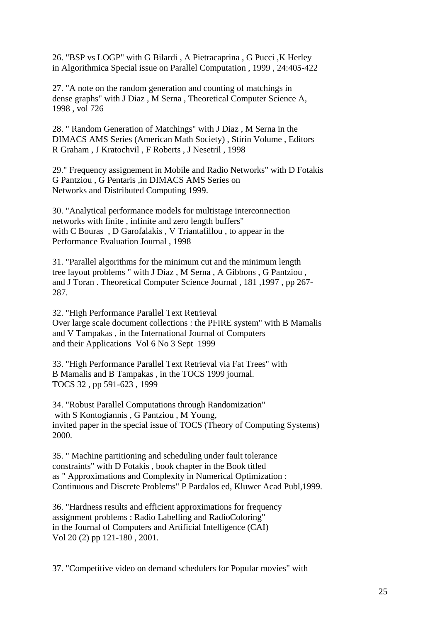26. "BSP vs LOGP" with G Bilardi , A Pietracaprina , G Pucci ,K Herley in Algorithmica Special issue on Parallel Computation , 1999 , 24:405-422

27. "A note on the random generation and counting of matchings in dense graphs" with J Diaz , M Serna , Theoretical Computer Science A, 1998 , vol 726

28. " Random Generation of Matchings" with J Diaz , M Serna in the DIMACS AMS Series (American Math Society) , Stirin Volume , Editors R Graham , J Kratochvil , F Roberts , J Nesetril , 1998

29." Frequency assignement in Mobile and Radio Networks" with D Fotakis G Pantziou , G Pentaris ,in DIMACS AMS Series on Networks and Distributed Computing 1999.

30. "Analytical performance models for multistage interconnection networks with finite , infinite and zero length buffers" with C Bouras , D Garofalakis , V Triantafillou , to appear in the Performance Evaluation Journal , 1998

31. "Parallel algorithms for the minimum cut and the minimum length tree layout problems " with J Diaz , M Serna , A Gibbons , G Pantziou , and J Toran . Theoretical Computer Science Journal , 181 ,1997 , pp 267- 287.

32. "High Performance Parallel Text Retrieval Over large scale document collections : the PFIRE system" with B Mamalis and V Tampakas , in the International Journal of Computers and their Applications Vol 6 No 3 Sept 1999

33. "High Performance Parallel Text Retrieval via Fat Trees" with B Mamalis and B Tampakas , in the TOCS 1999 journal. TOCS 32 , pp 591-623 , 1999

34. "Robust Parallel Computations through Randomization" with S Kontogiannis , G Pantziou , M Young, invited paper in the special issue of TOCS (Theory of Computing Systems) 2000.

35. " Machine partitioning and scheduling under fault tolerance constraints" with D Fotakis , book chapter in the Book titled as " Approximations and Complexity in Numerical Optimization : Continuous and Discrete Problems" P Pardalos ed, Kluwer Acad Publ,1999.

36. "Hardness results and efficient approximations for frequency assignment problems : Radio Labelling and RadioColoring" in the Journal of Computers and Artificial Intelligence (CAI) Vol 20 (2) pp 121-180 , 2001.

37. "Competitive video on demand schedulers for Popular movies" with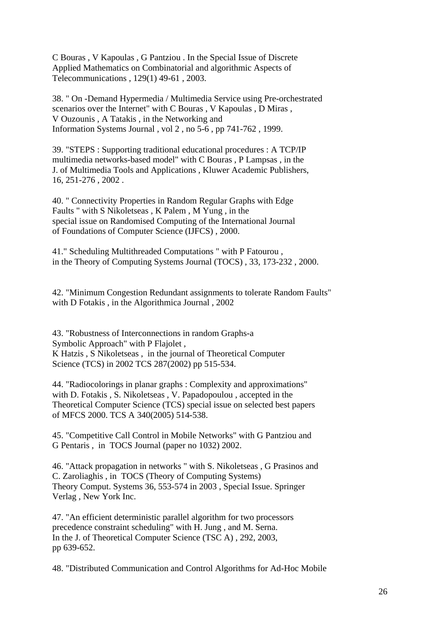C Bouras , V Kapoulas , G Pantziou . In the Special Issue of Discrete Applied Mathematics on Combinatorial and algorithmic Aspects of Telecommunications , 129(1) 49-61 , 2003.

38. " On -Demand Hypermedia / Multimedia Service using Pre-orchestrated scenarios over the Internet" with C Bouras , V Kapoulas , D Miras , V Ouzounis , A Tatakis , in the Networking and Information Systems Journal , vol 2 , no 5-6 , pp 741-762 , 1999.

39. "STEPS : Supporting traditional educational procedures : A TCP/IP multimedia networks-based model" with C Bouras , P Lampsas , in the J. of Multimedia Tools and Applications , Kluwer Academic Publishers, 16, 251-276 , 2002 .

40. " Connectivity Properties in Random Regular Graphs with Edge Faults " with S Nikoletseas , K Palem , M Yung , in the special issue on Randomised Computing of the International Journal of Foundations of Computer Science (IJFCS) , 2000.

41." Scheduling Multithreaded Computations " with P Fatourou , in the Theory of Computing Systems Journal (TOCS) , 33, 173-232 , 2000.

42. "Minimum Congestion Redundant assignments to tolerate Random Faults" with D Fotakis , in the Algorithmica Journal , 2002

43. "Robustness of Interconnections in random Graphs-a Symbolic Approach" with P Flajolet , K Hatzis , S Nikoletseas , in the journal of Theoretical Computer Science (TCS) in 2002 TCS 287(2002) pp 515-534.

44. "Radiocolorings in planar graphs : Complexity and approximations" with D. Fotakis , S. Nikoletseas , V. Papadopoulou , accepted in the Theoretical Computer Science (TCS) special issue on selected best papers of MFCS 2000. TCS A 340(2005) 514-538.

45. "Competitive Call Control in Mobile Networks" with G Pantziou and G Pentaris , in TOCS Journal (paper no 1032) 2002.

46. "Attack propagation in networks " with S. Nikoletseas , G Prasinos and C. Zaroliaghis , in TOCS (Theory of Computing Systems) Theory Comput. Systems 36, 553-574 in 2003 , Special Issue. Springer Verlag , New York Inc.

47. "An efficient deterministic parallel algorithm for two processors precedence constraint scheduling" with H. Jung , and M. Serna. In the J. of Theoretical Computer Science (TSC A) , 292, 2003, pp 639-652.

48. "Distributed Communication and Control Algorithms for Ad-Hoc Mobile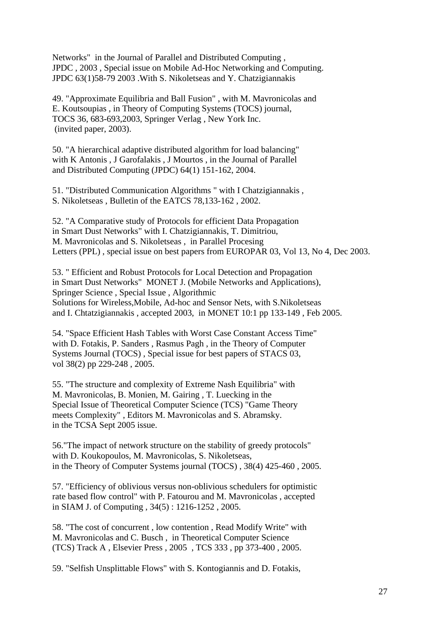Networks" in the Journal of Parallel and Distributed Computing , JPDC , 2003 , Special issue on Mobile Ad-Hoc Networking and Computing. JPDC 63(1)58-79 2003 .With S. Nikoletseas and Y. Chatzigiannakis

49. "Approximate Equilibria and Ball Fusion" , with M. Mavronicolas and E. Koutsoupias , in Theory of Computing Systems (TOCS) journal, TOCS 36, 683-693,2003, Springer Verlag , New York Inc. (invited paper, 2003).

50. "A hierarchical adaptive distributed algorithm for load balancing" with K Antonis , J Garofalakis , J Mourtos , in the Journal of Parallel and Distributed Computing (JPDC) 64(1) 151-162, 2004.

51. "Distributed Communication Algorithms " with I Chatzigiannakis , S. Nikoletseas , Bulletin of the EATCS 78,133-162 , 2002.

52. "A Comparative study of Protocols for efficient Data Propagation in Smart Dust Networks" with I. Chatzigiannakis, T. Dimitriou, M. Mavronicolas and S. Nikoletseas , in Parallel Procesing Letters (PPL) , special issue on best papers from EUROPAR 03, Vol 13, No 4, Dec 2003.

53. " Efficient and Robust Protocols for Local Detection and Propagation in Smart Dust Networks" MONET J. (Mobile Networks and Applications), Springer Science , Special Issue , Algorithmic Solutions for Wireless,Mobile, Ad-hoc and Sensor Nets, with S.Nikoletseas and I. Chtatzigiannakis , accepted 2003, in MONET 10:1 pp 133-149 , Feb 2005.

54. "Space Efficient Hash Tables with Worst Case Constant Access Time" with D. Fotakis, P. Sanders , Rasmus Pagh , in the Theory of Computer Systems Journal (TOCS) , Special issue for best papers of STACS 03, vol 38(2) pp 229-248 , 2005.

55. "The structure and complexity of Extreme Nash Equilibria" with M. Mavronicolas, B. Monien, M. Gairing , T. Luecking in the Special Issue of Theoretical Computer Science (TCS) "Game Theory meets Complexity" , Editors M. Mavronicolas and S. Abramsky. in the TCSA Sept 2005 issue.

56."The impact of network structure on the stability of greedy protocols" with D. Koukopoulos, M. Mavronicolas, S. Nikoletseas, in the Theory of Computer Systems journal (TOCS) , 38(4) 425-460 , 2005.

57. "Efficiency of oblivious versus non-oblivious schedulers for optimistic rate based flow control" with P. Fatourou and M. Mavronicolas , accepted in SIAM J. of Computing , 34(5) : 1216-1252 , 2005.

58. "The cost of concurrent , low contention , Read Modify Write" with M. Mavronicolas and C. Busch , in Theoretical Computer Science (TCS) Track A , Elsevier Press , 2005 , TCS 333 , pp 373-400 , 2005.

59. "Selfish Unsplittable Flows" with S. Kontogiannis and D. Fotakis,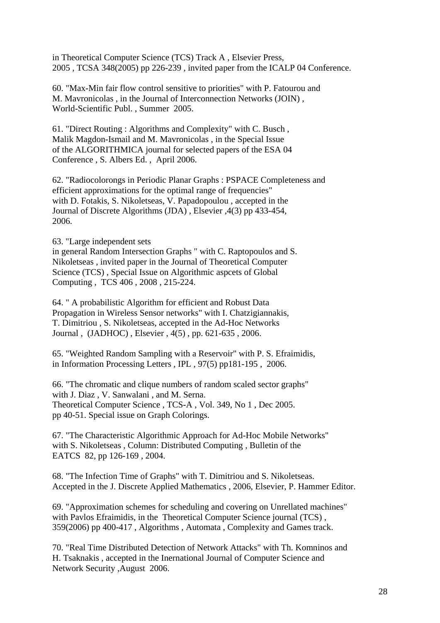in Theoretical Computer Science (TCS) Track A , Elsevier Press, 2005 , TCSA 348(2005) pp 226-239 , invited paper from the ICALP 04 Conference.

60. "Max-Min fair flow control sensitive to priorities" with P. Fatourou and M. Mavronicolas , in the Journal of Interconnection Networks (JOIN) , World-Scientific Publ. , Summer 2005.

61. "Direct Routing : Algorithms and Complexity" with C. Busch , Malik Magdon-Ismail and M. Mavronicolas , in the Special Issue of the ALGORITHMICA journal for selected papers of the ESA 04 Conference , S. Albers Ed. , April 2006.

62. "Radiocolorongs in Periodic Planar Graphs : PSPACE Completeness and efficient approximations for the optimal range of frequencies" with D. Fotakis, S. Nikoletseas, V. Papadopoulou , accepted in the Journal of Discrete Algorithms (JDA) , Elsevier ,4(3) pp 433-454, 2006.

63. "Large independent sets

in general Random Intersection Graphs " with C. Raptopoulos and S. Nikoletseas , invited paper in the Journal of Theoretical Computer Science (TCS) , Special Issue on Algorithmic aspcets of Global Computing , TCS 406 , 2008 , 215-224.

64. " A probabilistic Algorithm for efficient and Robust Data Propagation in Wireless Sensor networks" with I. Chatzigiannakis, T. Dimitriou , S. Nikoletseas, accepted in the Ad-Hoc Networks Journal , (JADHOC) , Elsevier , 4(5) , pp. 621-635 , 2006.

65. "Weighted Random Sampling with a Reservoir" with P. S. Efraimidis, in Information Processing Letters , IPL , 97(5) pp181-195 , 2006.

66. "The chromatic and clique numbers of random scaled sector graphs" with J. Diaz , V. Sanwalani , and M. Serna. Theoretical Computer Science , TCS-A , Vol. 349, No 1 , Dec 2005. pp 40-51. Special issue on Graph Colorings.

67. "The Characteristic Algorithmic Approach for Ad-Hoc Mobile Networks" with S. Nikoletseas , Column: Distributed Computing , Bulletin of the EATCS 82, pp 126-169 , 2004.

68. "The Infection Time of Graphs" with T. Dimitriou and S. Nikoletseas. Accepted in the J. Discrete Applied Mathematics , 2006, Elsevier, P. Hammer Editor.

69. "Approximation schemes for scheduling and covering on Unrellated machines" with Pavlos Efraimidis, in the Theoretical Computer Science journal (TCS). 359(2006) pp 400-417 , Algorithms , Automata , Complexity and Games track.

70. "Real Time Distributed Detection of Network Attacks" with Th. Komninos and H. Tsaknakis , accepted in the Inernational Journal of Computer Science and Network Security ,August 2006.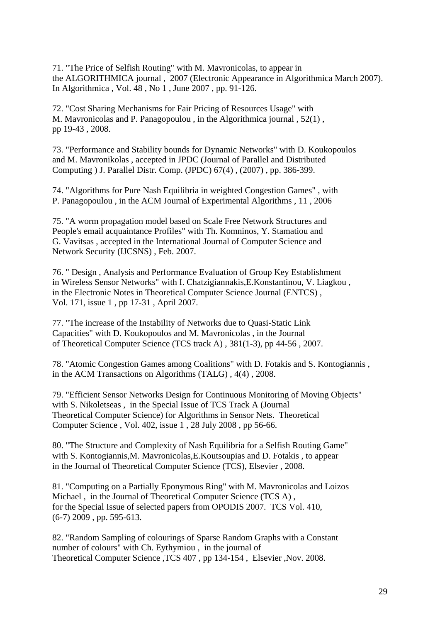71. "The Price of Selfish Routing" with M. Mavronicolas, to appear in the ALGORITHMICA journal , 2007 (Electronic Appearance in Algorithmica March 2007). In Algorithmica , Vol. 48 , No 1 , June 2007 , pp. 91-126.

72. "Cost Sharing Mechanisms for Fair Pricing of Resources Usage" with M. Mavronicolas and P. Panagopoulou , in the Algorithmica journal , 52(1) , pp 19-43 , 2008.

73. "Performance and Stability bounds for Dynamic Networks" with D. Koukopoulos and M. Mavronikolas , accepted in JPDC (Journal of Parallel and Distributed Computing ) J. Parallel Distr. Comp. (JPDC) 67(4) , (2007) , pp. 386-399.

74. "Algorithms for Pure Nash Equilibria in weighted Congestion Games" , with P. Panagopoulou , in the ACM Journal of Experimental Algorithms , 11 , 2006

75. "A worm propagation model based on Scale Free Network Structures and People's email acquaintance Profiles" with Th. Komninos, Y. Stamatiou and G. Vavitsas , accepted in the International Journal of Computer Science and Network Security (IJCSNS) , Feb. 2007.

76. " Design , Analysis and Performance Evaluation of Group Key Establishment in Wireless Sensor Networks" with I. Chatzigiannakis,E.Konstantinou, V. Liagkou , in the Electronic Notes in Theoretical Computer Science Journal (ENTCS) , Vol. 171, issue 1 , pp 17-31 , April 2007.

77. "The increase of the Instability of Networks due to Quasi-Static Link Capacities" with D. Koukopoulos and M. Mavronicolas , in the Journal of Theoretical Computer Science (TCS track A) , 381(1-3), pp 44-56 , 2007.

78. "Atomic Congestion Games among Coalitions" with D. Fotakis and S. Kontogiannis , in the ACM Transactions on Algorithms (TALG) , 4(4) , 2008.

79. "Efficient Sensor Networks Design for Continuous Monitoring of Moving Objects" with S. Nikoletseas , in the Special Issue of TCS Track A (Journal Theoretical Computer Science) for Algorithms in Sensor Nets. Theoretical Computer Science , Vol. 402, issue 1 , 28 July 2008 , pp 56-66.

80. "The Structure and Complexity of Nash Equilibria for a Selfish Routing Game" with S. Kontogiannis,M. Mavronicolas,E.Koutsoupias and D. Fotakis , to appear in the Journal of Theoretical Computer Science (TCS), Elsevier , 2008.

81. "Computing on a Partially Eponymous Ring" with M. Mavronicolas and Loizos Michael , in the Journal of Theoretical Computer Science (TCS A) , for the Special Issue of selected papers from OPODIS 2007. TCS Vol. 410, (6-7) 2009 , pp. 595-613.

82. "Random Sampling of colourings of Sparse Random Graphs with a Constant number of colours" with Ch. Eythymiou , in the journal of Theoretical Computer Science ,TCS 407 , pp 134-154 , Elsevier ,Nov. 2008.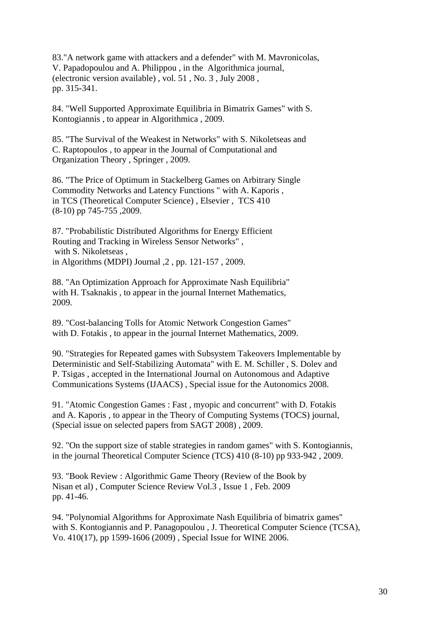83."A network game with attackers and a defender" with M. Mavronicolas, V. Papadopoulou and A. Philippou , in the Algorithmica journal, (electronic version available) , vol. 51 , No. 3 , July 2008 , pp. 315-341.

84. "Well Supported Approximate Equilibria in Bimatrix Games" with S. Kontogiannis , to appear in Algorithmica , 2009.

85. "The Survival of the Weakest in Networks" with S. Nikoletseas and C. Raptopoulos , to appear in the Journal of Computational and Organization Theory , Springer , 2009.

86. "The Price of Optimum in Stackelberg Games on Arbitrary Single Commodity Networks and Latency Functions " with A. Kaporis , in TCS (Theoretical Computer Science) , Elsevier , TCS 410 (8-10) pp 745-755 ,2009.

87. "Probabilistic Distributed Algorithms for Energy Efficient Routing and Tracking in Wireless Sensor Networks" , with S. Nikoletseas , in Algorithms (MDPI) Journal ,2 , pp. 121-157 , 2009.

88. "An Optimization Approach for Approximate Nash Equilibria" with H. Tsaknakis , to appear in the journal Internet Mathematics, 2009.

89. "Cost-balancing Tolls for Atomic Network Congestion Games" with D. Fotakis , to appear in the journal Internet Mathematics, 2009.

90. "Strategies for Repeated games with Subsystem Takeovers Implementable by Deterministic and Self-Stabilizing Automata" with E. M. Schiller , S. Dolev and P. Tsigas , accepted in the International Journal on Autonomous and Adaptive Communications Systems (IJAACS) , Special issue for the Autonomics 2008.

91. "Atomic Congestion Games : Fast , myopic and concurrent" with D. Fotakis and A. Kaporis , to appear in the Theory of Computing Systems (TOCS) journal, (Special issue on selected papers from SAGT 2008) , 2009.

92. "On the support size of stable strategies in random games" with S. Kontogiannis, in the journal Theoretical Computer Science (TCS) 410 (8-10) pp 933-942 , 2009.

93. "Book Review : Algorithmic Game Theory (Review of the Book by Nisan et al) , Computer Science Review Vol.3 , Issue 1 , Feb. 2009 pp. 41-46.

94. "Polynomial Algorithms for Approximate Nash Equilibria of bimatrix games" with S. Kontogiannis and P. Panagopoulou , J. Theoretical Computer Science (TCSA), Vo. 410(17), pp 1599-1606 (2009) , Special Issue for WINE 2006.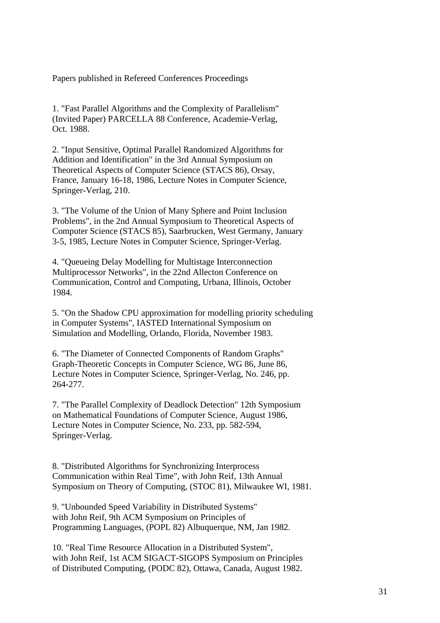Papers published in Refereed Conferences Proceedings

1. "Fast Parallel Algorithms and the Complexity of Parallelism" (Invited Paper) PARCELLA 88 Conference, Academie-Verlag, Oct. 1988.

2. "Input Sensitive, Optimal Parallel Randomized Algorithms for Addition and Identification" in the 3rd Annual Symposium on Theoretical Aspects of Computer Science (STACS 86), Orsay, France, January 16-18, 1986, Lecture Notes in Computer Science, Springer-Verlag, 210.

3. "The Volume of the Union of Many Sphere and Point Inclusion Problems", in the 2nd Annual Symposium to Theoretical Aspects of Computer Science (STACS 85), Saarbrucken, West Germany, January 3-5, 1985, Lecture Notes in Computer Science, Springer-Verlag.

4. "Queueing Delay Modelling for Multistage Interconnection Multiprocessor Networks", in the 22nd Allecton Conference on Communication, Control and Computing, Urbana, Illinois, October 1984.

5. "On the Shadow CPU approximation for modelling priority scheduling in Computer Systems", IASTED International Symposium on Simulation and Modelling, Orlando, Florida, November 1983.

6. "The Diameter of Connected Components of Random Graphs" Graph-Theoretic Concepts in Computer Science, WG 86, June 86, Lecture Notes in Computer Science, Springer-Verlag, No. 246, pp. 264-277.

7. "The Parallel Complexity of Deadlock Detection" 12th Symposium on Mathematical Foundations of Computer Science, August 1986, Lecture Notes in Computer Science, No. 233, pp. 582-594, Springer-Verlag.

8. "Distributed Algorithms for Synchronizing Interprocess Communication within Real Time", with John Reif, 13th Annual Symposium on Theory of Computing, (STOC 81), Milwaukee WI, 1981.

9. "Unbounded Speed Variability in Distributed Systems" with John Reif, 9th ACM Symposium on Principles of Programming Languages, (POPL 82) Albuquerque, NM, Jan 1982.

10. "Real Time Resource Allocation in a Distributed System", with John Reif, 1st ACM SIGACT-SIGOPS Symposium on Principles of Distributed Computing, (PODC 82), Ottawa, Canada, August 1982.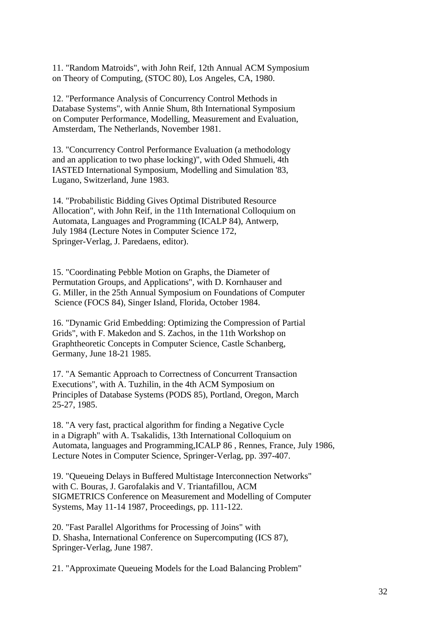11. "Random Matroids", with John Reif, 12th Annual ACM Symposium on Theory of Computing, (STOC 80), Los Angeles, CA, 1980.

12. "Performance Analysis of Concurrency Control Methods in Database Systems", with Annie Shum, 8th International Symposium on Computer Performance, Modelling, Measurement and Evaluation, Amsterdam, The Netherlands, November 1981.

13. "Concurrency Control Performance Evaluation (a methodology and an application to two phase locking)", with Oded Shmueli, 4th IASTED International Symposium, Modelling and Simulation '83, Lugano, Switzerland, June 1983.

14. "Probabilistic Bidding Gives Optimal Distributed Resource Allocation", with John Reif, in the 11th International Colloquium on Automata, Languages and Programming (ICALP 84), Antwerp, July 1984 (Lecture Notes in Computer Science 172, Springer-Verlag, J. Paredaens, editor).

15. "Coordinating Pebble Motion on Graphs, the Diameter of Permutation Groups, and Applications", with D. Kornhauser and G. Miller, in the 25th Annual Symposium on Foundations of Computer Science (FOCS 84), Singer Island, Florida, October 1984.

16. "Dynamic Grid Embedding: Optimizing the Compression of Partial Grids", with F. Makedon and S. Zachos, in the 11th Workshop on Graphtheoretic Concepts in Computer Science, Castle Schanberg, Germany, June 18-21 1985.

17. "A Semantic Approach to Correctness of Concurrent Transaction Executions", with A. Tuzhilin, in the 4th ACM Symposium on Principles of Database Systems (PODS 85), Portland, Oregon, March 25-27, 1985.

18. "A very fast, practical algorithm for finding a Negative Cycle in a Digraph" with A. Tsakalidis, 13th International Colloquium on Automata, languages and Programming,ICALP 86 , Rennes, France, July 1986, Lecture Notes in Computer Science, Springer-Verlag, pp. 397-407.

19. "Queueing Delays in Buffered Multistage Interconnection Networks" with C. Bouras, J. Garofalakis and V. Triantafillou, ACM SIGMETRICS Conference on Measurement and Modelling of Computer Systems, May 11-14 1987, Proceedings, pp. 111-122.

20. "Fast Parallel Algorithms for Processing of Joins" with D. Shasha, International Conference on Supercomputing (ICS 87), Springer-Verlag, June 1987.

21. "Approximate Queueing Models for the Load Balancing Problem"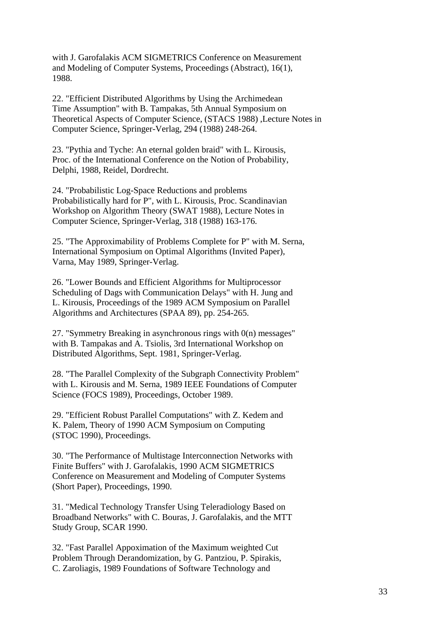with J. Garofalakis ACM SIGMETRICS Conference on Measurement and Modeling of Computer Systems, Proceedings (Abstract), 16(1), 1988.

22. "Efficient Distributed Algorithms by Using the Archimedean Time Assumption" with B. Tampakas, 5th Annual Symposium on Theoretical Aspects of Computer Science, (STACS 1988) ,Lecture Notes in Computer Science, Springer-Verlag, 294 (1988) 248-264.

23. "Pythia and Tyche: An eternal golden braid" with L. Kirousis, Proc. of the International Conference on the Notion of Probability, Delphi, 1988, Reidel, Dordrecht.

24. "Probabilistic Log-Space Reductions and problems Probabilistically hard for P", with L. Kirousis, Proc. Scandinavian Workshop on Algorithm Theory (SWAT 1988), Lecture Notes in Computer Science, Springer-Verlag, 318 (1988) 163-176.

25. "The Approximability of Problems Complete for P" with M. Serna, International Symposium on Optimal Algorithms (Invited Paper), Varna, May 1989, Springer-Verlag.

26. "Lower Bounds and Efficient Algorithms for Multiprocessor Scheduling of Dags with Communication Delays" with H. Jung and L. Kirousis, Proceedings of the 1989 ACM Symposium on Parallel Algorithms and Architectures (SPAA 89), pp. 254-265.

27. "Symmetry Breaking in asynchronous rings with 0(n) messages" with B. Tampakas and A. Tsiolis, 3rd International Workshop on Distributed Algorithms, Sept. 1981, Springer-Verlag.

28. "The Parallel Complexity of the Subgraph Connectivity Problem" with L. Kirousis and M. Serna, 1989 IEEE Foundations of Computer Science (FOCS 1989), Proceedings, October 1989.

29. "Efficient Robust Parallel Computations" with Z. Kedem and K. Palem, Theory of 1990 ACM Symposium on Computing (STOC 1990), Proceedings.

30. "The Performance of Multistage Interconnection Networks with Finite Buffers" with J. Garofalakis, 1990 ACM SIGMETRICS Conference on Measurement and Modeling of Computer Systems (Short Paper), Proceedings, 1990.

31. "Medical Technology Transfer Using Teleradiology Based on Broadband Networks" with C. Bouras, J. Garofalakis, and the MTT Study Group, SCAR 1990.

32. "Fast Parallel Appoximation of the Maximum weighted Cut Problem Through Derandomization, by G. Pantziou, P. Spirakis, C. Zaroliagis, 1989 Foundations of Software Technology and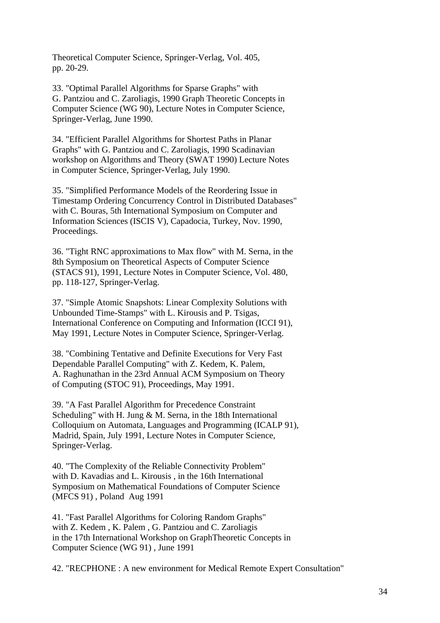Theoretical Computer Science, Springer-Verlag, Vol. 405, pp. 20-29.

33. "Optimal Parallel Algorithms for Sparse Graphs" with G. Pantziou and C. Zaroliagis, 1990 Graph Theoretic Concepts in Computer Science (WG 90), Lecture Notes in Computer Science, Springer-Verlag, June 1990.

34. "Efficient Parallel Algorithms for Shortest Paths in Planar Graphs" with G. Pantziou and C. Zaroliagis, 1990 Scadinavian workshop on Algorithms and Theory (SWAT 1990) Lecture Notes in Computer Science, Springer-Verlag, July 1990.

35. "Simplified Performance Models of the Reordering Issue in Timestamp Ordering Concurrency Control in Distributed Databases" with C. Bouras, 5th International Symposium on Computer and Information Sciences (ISCIS V), Capadocia, Turkey, Nov. 1990, Proceedings.

36. "Tight RNC approximations to Max flow" with M. Serna, in the 8th Symposium on Theoretical Aspects of Computer Science (STACS 91), 1991, Lecture Notes in Computer Science, Vol. 480, pp. 118-127, Springer-Verlag.

37. "Simple Atomic Snapshots: Linear Complexity Solutions with Unbounded Time-Stamps" with L. Kirousis and P. Tsigas, International Conference on Computing and Information (ICCI 91), May 1991, Lecture Notes in Computer Science, Springer-Verlag.

38. "Combining Tentative and Definite Executions for Very Fast Dependable Parallel Computing" with Z. Kedem, K. Palem, A. Raghunathan in the 23rd Annual ACM Symposium on Theory of Computing (STOC 91), Proceedings, May 1991.

39. "A Fast Parallel Algorithm for Precedence Constraint Scheduling" with H. Jung & M. Serna, in the 18th International Colloquium on Automata, Languages and Programming (ICALP 91), Madrid, Spain, July 1991, Lecture Notes in Computer Science, Springer-Verlag.

40. "The Complexity of the Reliable Connectivity Problem" with D. Kavadias and L. Kirousis , in the 16th International Symposium on Mathematical Foundations of Computer Science (MFCS 91) , Poland Aug 1991

41. "Fast Parallel Algorithms for Coloring Random Graphs" with Z. Kedem , K. Palem , G. Pantziou and C. Zaroliagis in the 17th International Workshop on GraphTheoretic Concepts in Computer Science (WG 91) , June 1991

42. "RECPHONE : A new environment for Medical Remote Expert Consultation"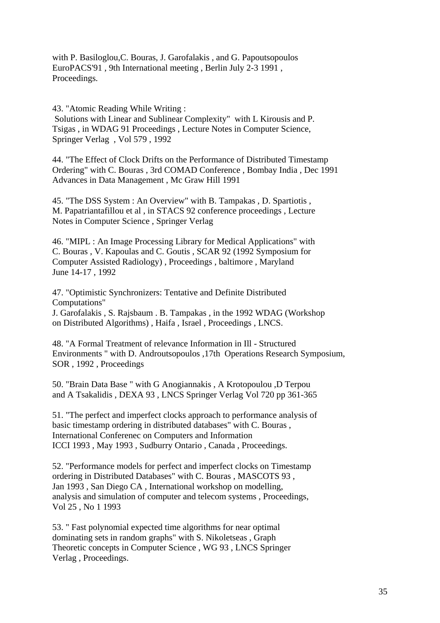with P. Basiloglou,C. Bouras, J. Garofalakis , and G. Papoutsopoulos EuroPACS'91 , 9th International meeting , Berlin July 2-3 1991 , Proceedings.

43. "Atomic Reading While Writing :

 Solutions with Linear and Sublinear Complexity" with L Kirousis and P. Tsigas , in WDAG 91 Proceedings , Lecture Notes in Computer Science, Springer Verlag , Vol 579 , 1992

44. "The Effect of Clock Drifts on the Performance of Distributed Timestamp Ordering" with C. Bouras , 3rd COMAD Conference , Bombay India , Dec 1991 Advances in Data Management , Mc Graw Hill 1991

45. "The DSS System : An Overview" with B. Tampakas , D. Spartiotis , M. Papatriantafillou et al , in STACS 92 conference proceedings , Lecture Notes in Computer Science , Springer Verlag

46. "MIPL : An Image Processing Library for Medical Applications" with C. Bouras , V. Kapoulas and C. Goutis , SCAR 92 (1992 Symposium for Computer Assisted Radiology) , Proceedings , baltimore , Maryland June 14-17 , 1992

47. "Optimistic Synchronizers: Tentative and Definite Distributed Computations" J. Garofalakis , S. Rajsbaum . B. Tampakas , in the 1992 WDAG (Workshop on Distributed Algorithms) , Haifa , Israel , Proceedings , LNCS.

48. "A Formal Treatment of relevance Information in Ill - Structured Environments " with D. Androutsopoulos ,17th Operations Research Symposium, SOR , 1992 , Proceedings

50. "Brain Data Base " with G Anogiannakis , A Krotopoulou ,D Terpou and A Tsakalidis , DEXA 93 , LNCS Springer Verlag Vol 720 pp 361-365

51. "The perfect and imperfect clocks approach to performance analysis of basic timestamp ordering in distributed databases" with C. Bouras , International Conferenec on Computers and Information ICCI 1993 , May 1993 , Sudburry Ontario , Canada , Proceedings.

52. "Performance models for perfect and imperfect clocks on Timestamp ordering in Distributed Databases" with C. Bouras , MASCOTS 93 , Jan 1993 , San Diego CA , International workshop on modelling, analysis and simulation of computer and telecom systems , Proceedings, Vol 25 , No 1 1993

53. " Fast polynomial expected time algorithms for near optimal dominating sets in random graphs" with S. Nikoletseas , Graph Theoretic concepts in Computer Science , WG 93 , LNCS Springer Verlag , Proceedings.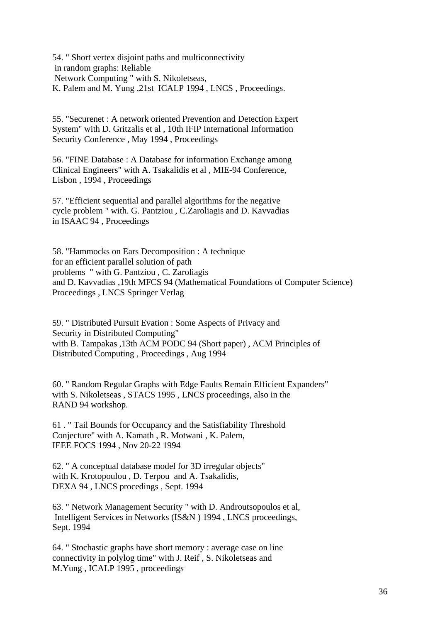54. " Short vertex disjoint paths and multiconnectivity in random graphs: Reliable Network Computing " with S. Nikoletseas, K. Palem and M. Yung ,21st ICALP 1994 , LNCS , Proceedings.

55. "Securenet : A network oriented Prevention and Detection Expert System" with D. Gritzalis et al , 10th IFIP International Information Security Conference , May 1994 , Proceedings

56. "FINE Database : A Database for information Exchange among Clinical Engineers" with A. Tsakalidis et al , MIE-94 Conference, Lisbon , 1994 , Proceedings

57. "Efficient sequential and parallel algorithms for the negative cycle problem " with. G. Pantziou , C.Zaroliagis and D. Kavvadias in ISAAC 94 , Proceedings

58. "Hammocks on Ears Decomposition : A technique for an efficient parallel solution of path problems " with G. Pantziou , C. Zaroliagis and D. Kavvadias ,19th MFCS 94 (Mathematical Foundations of Computer Science) Proceedings , LNCS Springer Verlag

59. " Distributed Pursuit Evation : Some Aspects of Privacy and Security in Distributed Computing" with B. Tampakas ,13th ACM PODC 94 (Short paper) , ACM Principles of Distributed Computing , Proceedings , Aug 1994

60. " Random Regular Graphs with Edge Faults Remain Efficient Expanders" with S. Nikoletseas , STACS 1995 , LNCS proceedings, also in the RAND 94 workshop.

61 . " Tail Bounds for Occupancy and the Satisfiability Threshold Conjecture" with A. Kamath , R. Motwani , K. Palem, IEEE FOCS 1994 , Nov 20-22 1994

62. " A conceptual database model for 3D irregular objects" with K. Krotopoulou , D. Terpou and A. Tsakalidis, DEXA 94 , LNCS procedings , Sept. 1994

63. " Network Management Security " with D. Androutsopoulos et al, Intelligent Services in Networks (IS&N ) 1994 , LNCS proceedings, Sept. 1994

64. " Stochastic graphs have short memory : average case on line connectivity in polylog time" with J. Reif , S. Nikoletseas and M.Yung , ICALP 1995 , proceedings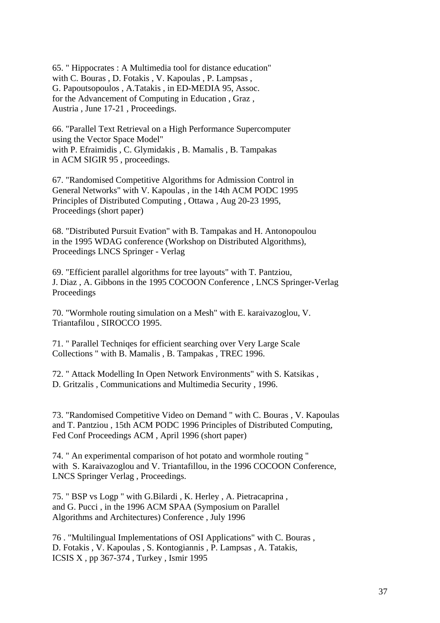65. " Hippocrates : A Multimedia tool for distance education" with C. Bouras , D. Fotakis , V. Kapoulas , P. Lampsas , G. Papoutsopoulos , A.Tatakis , in ED-MEDIA 95, Assoc. for the Advancement of Computing in Education , Graz , Austria , June 17-21 , Proceedings.

66. "Parallel Text Retrieval on a High Performance Supercomputer using the Vector Space Model" with P. Efraimidis , C. Glymidakis , B. Mamalis , B. Tampakas in ACM SIGIR 95 , proceedings.

67. "Randomised Competitive Algorithms for Admission Control in General Networks" with V. Kapoulas , in the 14th ACM PODC 1995 Principles of Distributed Computing , Ottawa , Aug 20-23 1995, Proceedings (short paper)

68. "Distributed Pursuit Evation" with B. Tampakas and H. Antonopoulou in the 1995 WDAG conference (Workshop on Distributed Algorithms), Proceedings LNCS Springer - Verlag

69. "Efficient parallel algorithms for tree layouts" with T. Pantziou, J. Diaz , A. Gibbons in the 1995 COCOON Conference , LNCS Springer-Verlag Proceedings

70. "Wormhole routing simulation on a Mesh" with E. karaivazoglou, V. Triantafilou , SIROCCO 1995.

71. " Parallel Techniqes for efficient searching over Very Large Scale Collections " with B. Mamalis , B. Tampakas , TREC 1996.

72. " Attack Modelling In Open Network Environments" with S. Katsikas , D. Gritzalis , Communications and Multimedia Security , 1996.

73. "Randomised Competitive Video on Demand " with C. Bouras , V. Kapoulas and T. Pantziou , 15th ACM PODC 1996 Principles of Distributed Computing, Fed Conf Proceedings ACM , April 1996 (short paper)

74. " An experimental comparison of hot potato and wormhole routing " with S. Karaivazoglou and V. Triantafillou, in the 1996 COCOON Conference, LNCS Springer Verlag , Proceedings.

75. " BSP vs Logp " with G.Bilardi , K. Herley , A. Pietracaprina , and G. Pucci , in the 1996 ACM SPAA (Symposium on Parallel Algorithms and Architectures) Conference , July 1996

76 . "Multilingual Implementations of OSI Applications" with C. Bouras , D. Fotakis , V. Kapoulas , S. Kontogiannis , P. Lampsas , A. Tatakis, ICSIS X , pp 367-374 , Turkey , Ismir 1995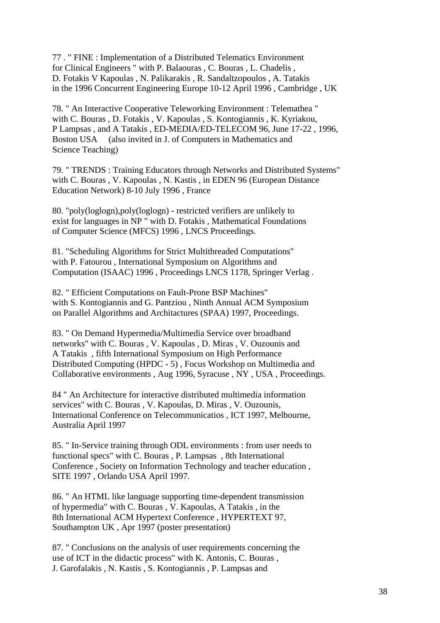77 . " FINE : Implementation of a Distributed Telematics Environment for Clinical Engineers " with P. Balaouras , C. Bouras , L. Chadelis , D. Fotakis V Kapoulas , N. Palikarakis , R. Sandaltzopoulos , A. Tatakis in the 1996 Concurrent Engineering Europe 10-12 April 1996 , Cambridge , UK

78. " An Interactive Cooperative Teleworking Environment : Telemathea " with C. Bouras , D. Fotakis , V. Kapoulas , S. Kontogiannis , K. Kyriakou, P Lampsas , and A Tatakis , ED-MEDIA/ED-TELECOM 96, June 17-22 , 1996, Boston USA (also invited in J. of Computers in Mathematics and Science Teaching)

79. " TRENDS : Training Educators through Networks and Distributed Systems" with C. Bouras , V. Kapoulas , N. Kastis , in EDEN 96 (European Distance Education Network) 8-10 July 1996 , France

80. "poly(loglogn),poly(loglogn) - restricted verifiers are unlikely to exist for languages in NP " with D. Fotakis , Mathematical Foundations of Computer Science (MFCS) 1996 , LNCS Proceedings.

81. "Scheduling Algorithms for Strict Multithreaded Computations" with P. Fatourou , International Symposium on Algorithms and Computation (ISAAC) 1996 , Proceedings LNCS 1178, Springer Verlag .

82. " Efficient Computations on Fault-Prone BSP Machines" with S. Kontogiannis and G. Pantziou , Ninth Annual ACM Symposium on Parallel Algorithms and Architactures (SPAA) 1997, Proceedings.

83. " On Demand Hypermedia/Multimedia Service over broadband networks" with C. Bouras , V. Kapoulas , D. Miras , V. Ouzounis and A Tatakis , fifth International Symposium on High Performance Distributed Computing (HPDC - 5) , Focus Workshop on Multimedia and Collaborative environments , Aug 1996, Syracuse , NY, USA, Proceedings.

84 " An Architecture for interactive distributed multimedia information services" with C. Bouras , V. Kapoulas, D. Miras , V. Ouzounis, International Conference on Telecommunicatios , ICT 1997, Melbourne, Australia April 1997

85. " In-Service training through ODL environments : from user needs to functional specs" with C. Bouras , P. Lampsas , 8th International Conference , Society on Information Technology and teacher education , SITE 1997 , Orlando USA April 1997.

86. " An HTML like language supporting time-dependent transmission of hypermedia" with C. Bouras , V. Kapoulas, A Tatakis , in the 8th International ACM Hypertext Conference , HYPERTEXT 97, Southampton UK , Apr 1997 (poster presentation)

87. " Conclusions on the analysis of user requirements concerning the use of ICT in the didactic process" with K. Antonis, C. Bouras , J. Garofalakis , N. Kastis , S. Kontogiannis , P. Lampsas and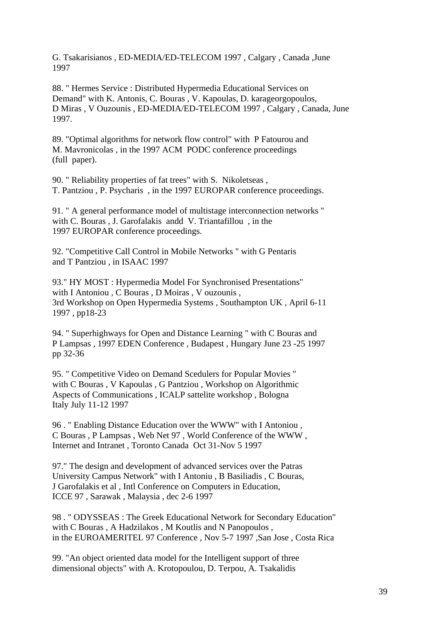G. Tsakarisianos , ED-MEDIA/ED-TELECOM 1997 , Calgary , Canada ,June 1997

88. " Hermes Service : Distributed Hypermedia Educational Services on Demand" with K. Antonis, C. Bouras , V. Kapoulas, D. karageorgopoulos, D Miras , V Ouzounis , ED-MEDIA/ED-TELECOM 1997 , Calgary , Canada, June 1997.

89. "Optimal algorithms for network flow control" with P Fatourou and M. Mavronicolas , in the 1997 ACM PODC conference proceedings (full paper).

90. " Reliability properties of fat trees" with S. Nikoletseas , T. Pantziou , P. Psycharis , in the 1997 EUROPAR conference proceedings.

91. " A general performance model of multistage interconnection networks " with C. Bouras , J. Garofalakis andd V. Triantafillou , in the 1997 EUROPAR conference proceedings.

92. "Competitive Call Control in Mobile Networks " with G Pentaris and T Pantziou , in ISAAC 1997

93." HY MOST : Hypermedia Model For Synchronised Presentations" with I Antoniou , C Bouras , D Moiras , V ouzounis , 3rd Workshop on Open Hypermedia Systems , Southampton UK , April 6-11 1997 , pp18-23

94. " Superhighways for Open and Distance Learning " with C Bouras and P Lampsas , 1997 EDEN Conference , Budapest , Hungary June 23 -25 1997 pp 32-36

95. " Competitive Video on Demand Scedulers for Popular Movies " with C Bouras , V Kapoulas , G Pantziou , Workshop on Algorithmic Aspects of Communications , ICALP sattelite workshop , Bologna Italy July 11-12 1997

96 . " Enabling Distance Education over the WWW" with I Antoniou , C Bouras , P Lampsas , Web Net 97 , World Conference of the WWW , Internet and Intranet , Toronto Canada Oct 31-Nov 5 1997

97." The design and development of advanced services over the Patras University Campus Network" with I Antoniu , B Basiliadis , C Bouras, J Garofalakis et al , Intl Conference on Computers in Education, ICCE 97 , Sarawak , Malaysia , dec 2-6 1997

98 . " ODYSSEAS : The Greek Educational Network for Secondary Education" with C Bouras, A Hadzilakos, M Koutlis and N Panopoulos, in the EUROAMERITEL 97 Conference , Nov 5-7 1997 ,San Jose , Costa Rica

99. "An object oriented data model for the Intelligent support of three dimensional objects" with A. Krotopoulou, D. Terpou, A. Tsakalidis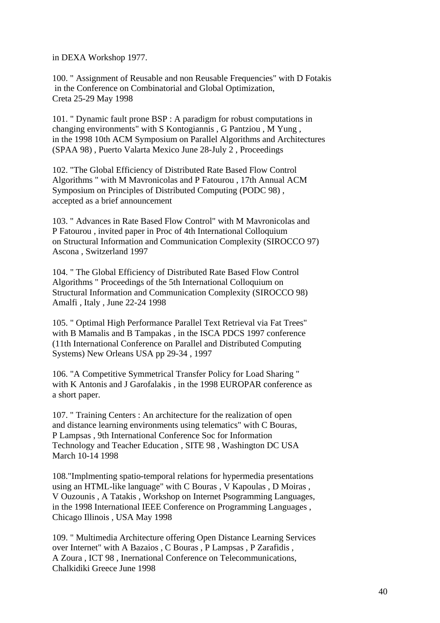in DEXA Workshop 1977.

100. " Assignment of Reusable and non Reusable Frequencies" with D Fotakis in the Conference on Combinatorial and Global Optimization, Creta 25-29 May 1998

101. " Dynamic fault prone BSP : A paradigm for robust computations in changing environments" with S Kontogiannis , G Pantziou , M Yung , in the 1998 10th ACM Symposium on Parallel Algorithms and Architectures (SPAA 98) , Puerto Valarta Mexico June 28-July 2 , Proceedings

102. "The Global Efficiency of Distributed Rate Based Flow Control Algorithms " with M Mavronicolas and P Fatourou , 17th Annual ACM Symposium on Principles of Distributed Computing (PODC 98) , accepted as a brief announcement

103. " Advances in Rate Based Flow Control" with M Mavronicolas and P Fatourou , invited paper in Proc of 4th International Colloquium on Structural Information and Communication Complexity (SIROCCO 97) Ascona , Switzerland 1997

104. " The Global Efficiency of Distributed Rate Based Flow Control Algorithms " Proceedings of the 5th International Colloquium on Structural Information and Communication Complexity (SIROCCO 98) Amalfi , Italy , June 22-24 1998

105. " Optimal High Performance Parallel Text Retrieval via Fat Trees" with B Mamalis and B Tampakas , in the ISCA PDCS 1997 conference (11th International Conference on Parallel and Distributed Computing Systems) New Orleans USA pp 29-34 , 1997

106. "A Competitive Symmetrical Transfer Policy for Load Sharing " with K Antonis and J Garofalakis , in the 1998 EUROPAR conference as a short paper.

107. " Training Centers : An architecture for the realization of open and distance learning environments using telematics" with C Bouras, P Lampsas , 9th International Conference Soc for Information Technology and Teacher Education , SITE 98 , Washington DC USA March 10-14 1998

108."Implmenting spatio-temporal relations for hypermedia presentations using an HTML-like language" with C Bouras , V Kapoulas , D Moiras , V Ouzounis , A Tatakis , Workshop on Internet Psogramming Languages, in the 1998 International IEEE Conference on Programming Languages , Chicago Illinois , USA May 1998

109. " Multimedia Architecture offering Open Distance Learning Services over Internet" with A Bazaios , C Bouras , P Lampsas , P Zarafidis , A Zoura , ICT 98 , Inernational Conference on Telecommunications, Chalkidiki Greece June 1998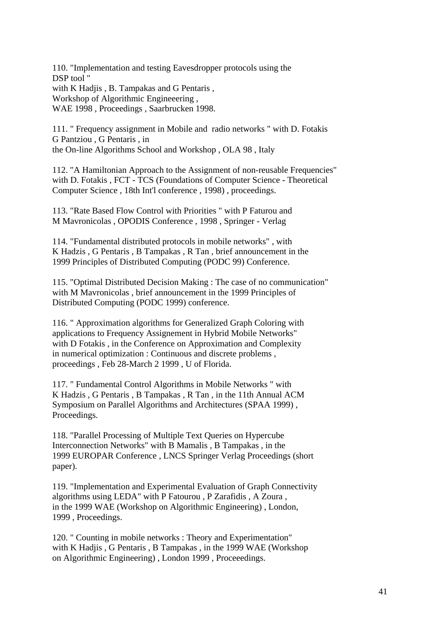110. "Implementation and testing Eavesdropper protocols using the DSP tool " with K Hadjis , B. Tampakas and G Pentaris , Workshop of Algorithmic Engineeering , WAE 1998 , Proceedings , Saarbrucken 1998.

111. " Frequency assignment in Mobile and radio networks " with D. Fotakis G Pantziou , G Pentaris , in the On-line Algorithms School and Workshop , OLA 98 , Italy

112. "A Hamiltonian Approach to the Assignment of non-reusable Frequencies" with D. Fotakis , FCT - TCS (Foundations of Computer Science - Theoretical Computer Science , 18th Int'l conference , 1998) , proceedings.

113. "Rate Based Flow Control with Priorities " with P Faturou and M Mavronicolas , OPODIS Conference , 1998 , Springer - Verlag

114. "Fundamental distributed protocols in mobile networks" , with K Hadzis , G Pentaris , B Tampakas , R Tan , brief announcement in the 1999 Principles of Distributed Computing (PODC 99) Conference.

115. "Optimal Distributed Decision Making : The case of no communication" with M Mavronicolas , brief announcement in the 1999 Principles of Distributed Computing (PODC 1999) conference.

116. " Approximation algorithms for Generalized Graph Coloring with applications to Frequency Assignement in Hybrid Mobile Networks" with D Fotakis , in the Conference on Approximation and Complexity in numerical optimization : Continuous and discrete problems , proceedings , Feb 28-March 2 1999 , U of Florida.

117. " Fundamental Control Algorithms in Mobile Networks " with K Hadzis , G Pentaris , B Tampakas , R Tan , in the 11th Annual ACM Symposium on Parallel Algorithms and Architectures (SPAA 1999) , Proceedings.

118. "Parallel Processing of Multiple Text Queries on Hypercube Interconnection Networks" with B Mamalis , B Tampakas , in the 1999 EUROPAR Conference , LNCS Springer Verlag Proceedings (short paper).

119. "Implementation and Experimental Evaluation of Graph Connectivity algorithms using LEDA" with P Fatourou , P Zarafidis , A Zoura , in the 1999 WAE (Workshop on Algorithmic Engineering) , London, 1999 , Proceedings.

120. " Counting in mobile networks : Theory and Experimentation" with K Hadjis , G Pentaris , B Tampakas , in the 1999 WAE (Workshop) on Algorithmic Engineering) , London 1999 , Proceeedings.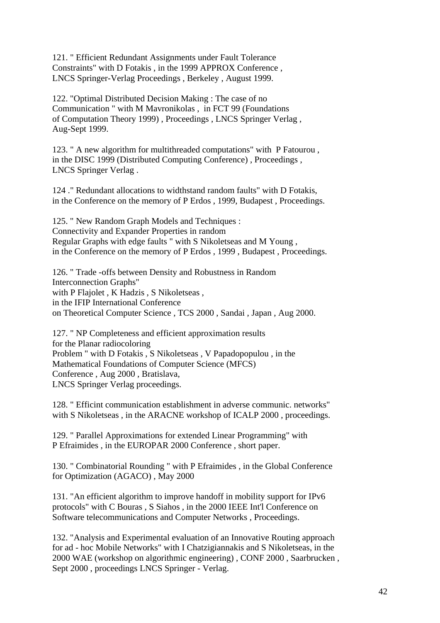121. " Efficient Redundant Assignments under Fault Tolerance Constraints" with D Fotakis , in the 1999 APPROX Conference , LNCS Springer-Verlag Proceedings , Berkeley , August 1999.

122. "Optimal Distributed Decision Making : The case of no Communication " with M Mavronikolas , in FCT 99 (Foundations of Computation Theory 1999) , Proceedings , LNCS Springer Verlag , Aug-Sept 1999.

123. " A new algorithm for multithreaded computations" with P Fatourou , in the DISC 1999 (Distributed Computing Conference) , Proceedings , LNCS Springer Verlag .

124 ." Redundant allocations to widthstand random faults" with D Fotakis, in the Conference on the memory of P Erdos , 1999, Budapest , Proceedings.

125. " New Random Graph Models and Techniques : Connectivity and Expander Properties in random Regular Graphs with edge faults " with S Nikoletseas and M Young , in the Conference on the memory of P Erdos , 1999 , Budapest , Proceedings.

126. " Trade -offs between Density and Robustness in Random Interconnection Graphs" with P Flajolet , K Hadzis , S Nikoletseas . in the IFIP International Conference on Theoretical Computer Science , TCS 2000 , Sandai , Japan , Aug 2000.

127. " NP Completeness and efficient approximation results for the Planar radiocoloring Problem " with D Fotakis , S Nikoletseas , V Papadopopulou , in the Mathematical Foundations of Computer Science (MFCS) Conference , Aug 2000 , Bratislava, LNCS Springer Verlag proceedings.

128. " Efficint communication establishment in adverse communic. networks" with S Nikoletseas , in the ARACNE workshop of ICALP 2000 , proceedings.

129. " Parallel Approximations for extended Linear Programming" with P Efraimides , in the EUROPAR 2000 Conference , short paper.

130. " Combinatorial Rounding " with P Efraimides , in the Global Conference for Optimization (AGACO) , May 2000

131. "An efficient algorithm to improve handoff in mobility support for IPv6 protocols" with C Bouras , S Siahos , in the 2000 IEEE Int'l Conference on Software telecommunications and Computer Networks , Proceedings.

132. "Analysis and Experimental evaluation of an Innovative Routing approach for ad - hoc Mobile Networks" with I Chatzigiannakis and S Nikoletseas, in the 2000 WAE (workshop on algorithmic engineering) , CONF 2000 , Saarbrucken , Sept 2000 , proceedings LNCS Springer - Verlag.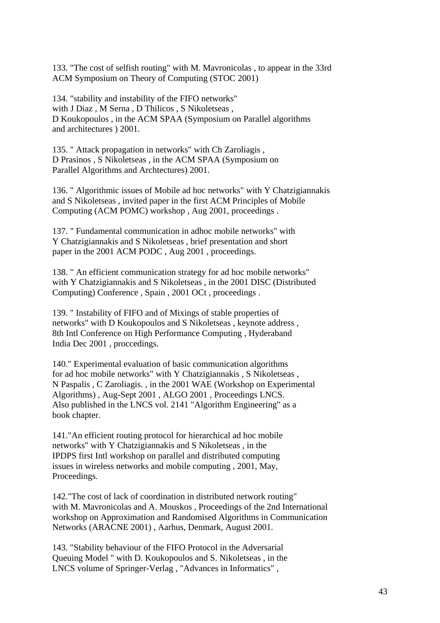133. "The cost of selfish routing" with M. Mavronicolas , to appear in the 33rd ACM Symposium on Theory of Computing (STOC 2001)

134. "stability and instability of the FIFO networks" with J Diaz , M Serna , D Thilicos , S Nikoletseas , D Koukopoulos , in the ACM SPAA (Symposium on Parallel algorithms and architectures ) 2001.

135. " Attack propagation in networks" with Ch Zaroliagis , D Prasinos , S Nikoletseas , in the ACM SPAA (Symposium on Parallel Algorithms and Archtectures) 2001.

136. " Algorithmic issues of Mobile ad hoc networks" with Y Chatzigiannakis and S Nikoletseas , invited paper in the first ACM Principles of Mobile Computing (ACM POMC) workshop , Aug 2001, proceedings .

137. " Fundamental communication in adhoc mobile networks" with Y Chatzigiannakis and S Nikoletseas , brief presentation and short paper in the 2001 ACM PODC , Aug 2001 , proceedings.

138. " An efficient communication strategy for ad hoc mobile networks" with Y Chatzigiannakis and S Nikoletseas , in the 2001 DISC (Distributed Computing) Conference , Spain , 2001 OCt , proceedings .

139. " Instability of FIFO and of Mixings of stable properties of networks" with D Koukopoulos and S Nikoletseas , keynote address , 8th Intl Conference on High Performance Computing , Hyderaband India Dec 2001 , proccedings.

140." Experimental evaluation of basic communication algorithms for ad hoc mobile networks" with Y Chatzigiannakis , S Nikoletseas , N Paspalis , C Zaroliagis. , in the 2001 WAE (Workshop on Experimental Algorithms) , Aug-Sept 2001 , ALGO 2001 , Proceedings LNCS. Also published in the LNCS vol. 2141 "Algorithm Engineering" as a book chapter.

141."An efficient routing protocol for hierarchical ad hoc mobile networks" with Y Chatzigiannakis and S Nikoletseas , in the IPDPS first Intl workshop on parallel and distributed computing issues in wireless networks and mobile computing , 2001, May, Proceedings.

142."The cost of lack of coordination in distributed network routing" with M. Mavronicolas and A. Mouskos , Proceedings of the 2nd International workshop on Approximation and Randomised Algorithms in Communication Networks (ARACNE 2001) , Aarhus, Denmark, August 2001.

143. "Stability behaviour of the FIFO Protocol in the Adversarial Queuing Model " with D. Koukopoulos and S. Nikoletseas , in the LNCS volume of Springer-Verlag , "Advances in Informatics" ,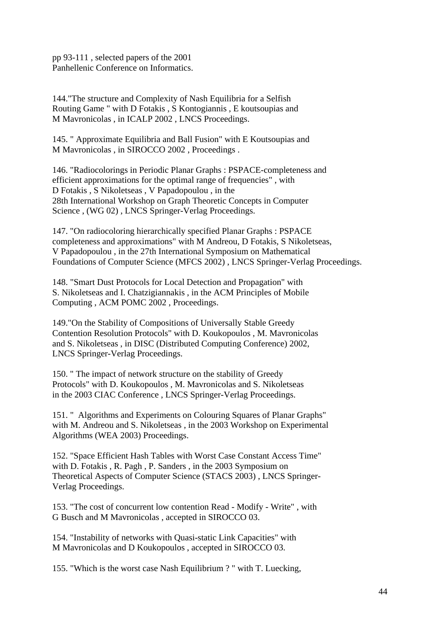pp 93-111 , selected papers of the 2001 Panhellenic Conference on Informatics.

144."The structure and Complexity of Nash Equilibria for a Selfish Routing Game " with D Fotakis , S Kontogiannis , E koutsoupias and M Mavronicolas , in ICALP 2002 , LNCS Proceedings.

145. " Approximate Equilibria and Ball Fusion" with E Koutsoupias and M Mavronicolas , in SIROCCO 2002 , Proceedings .

146. "Radiocolorings in Periodic Planar Graphs : PSPACE-completeness and efficient approximations for the optimal range of frequencies" , with D Fotakis , S Nikoletseas , V Papadopoulou , in the 28th International Workshop on Graph Theoretic Concepts in Computer Science , (WG 02) , LNCS Springer-Verlag Proceedings.

147. "On radiocoloring hierarchically specified Planar Graphs : PSPACE completeness and approximations" with M Andreou, D Fotakis, S Nikoletseas, V Papadopoulou , in the 27th International Symposium on Mathematical Foundations of Computer Science (MFCS 2002) , LNCS Springer-Verlag Proceedings.

148. "Smart Dust Protocols for Local Detection and Propagation" with S. Nikoletseas and I. Chatzigiannakis , in the ACM Principles of Mobile Computing , ACM POMC 2002 , Proceedings.

149."On the Stability of Compositions of Universally Stable Greedy Contention Resolution Protocols" with D. Koukopoulos , M. Mavronicolas and S. Nikoletseas , in DISC (Distributed Computing Conference) 2002, LNCS Springer-Verlag Proceedings.

150. " The impact of network structure on the stability of Greedy Protocols" with D. Koukopoulos , M. Mavronicolas and S. Nikoletseas in the 2003 CIAC Conference , LNCS Springer-Verlag Proceedings.

151. " Algorithms and Experiments on Colouring Squares of Planar Graphs" with M. Andreou and S. Nikoletseas , in the 2003 Workshop on Experimental Algorithms (WEA 2003) Proceedings.

152. "Space Efficient Hash Tables with Worst Case Constant Access Time" with D. Fotakis , R. Pagh , P. Sanders , in the 2003 Symposium on Theoretical Aspects of Computer Science (STACS 2003) , LNCS Springer-Verlag Proceedings.

153. "The cost of concurrent low contention Read - Modify - Write" , with G Busch and M Mavronicolas , accepted in SIROCCO 03.

154. "Instability of networks with Quasi-static Link Capacities" with M Mavronicolas and D Koukopoulos , accepted in SIROCCO 03.

155. "Which is the worst case Nash Equilibrium ? " with T. Luecking,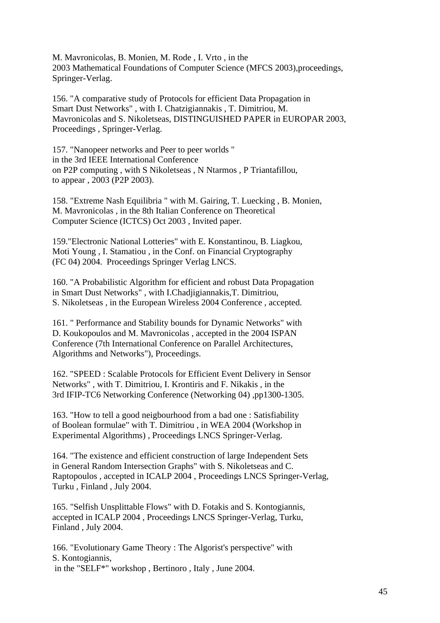M. Mavronicolas, B. Monien, M. Rode , I. Vrto , in the 2003 Mathematical Foundations of Computer Science (MFCS 2003),proceedings, Springer-Verlag.

156. "A comparative study of Protocols for efficient Data Propagation in Smart Dust Networks" , with I. Chatzigiannakis , T. Dimitriou, M. Mavronicolas and S. Nikoletseas, DISTINGUISHED PAPER in EUROPAR 2003, Proceedings , Springer-Verlag.

157. "Nanopeer networks and Peer to peer worlds " in the 3rd IEEE International Conference on P2P computing , with S Nikoletseas , N Ntarmos , P Triantafillou, to appear , 2003 (P2P 2003).

158. "Extreme Nash Equilibria " with M. Gairing, T. Luecking , B. Monien, M. Mavronicolas , in the 8th Italian Conference on Theoretical Computer Science (ICTCS) Oct 2003 , Invited paper.

159."Electronic National Lotteries" with E. Konstantinou, B. Liagkou, Moti Young , I. Stamatiou , in the Conf. on Financial Cryptography (FC 04) 2004. Proceedings Springer Verlag LNCS.

160. "A Probabilistic Algorithm for efficient and robust Data Propagation in Smart Dust Networks" , with I.Chadjigiannakis,T. Dimitriou, S. Nikoletseas , in the European Wireless 2004 Conference , accepted.

161. " Performance and Stability bounds for Dynamic Networks" with D. Koukopoulos and M. Mavronicolas , accepted in the 2004 ISPAN Conference (7th International Conference on Parallel Architectures, Algorithms and Networks"), Proceedings.

162. "SPEED : Scalable Protocols for Efficient Event Delivery in Sensor Networks" , with T. Dimitriou, I. Krontiris and F. Nikakis , in the 3rd IFIP-TC6 Networking Conference (Networking 04) ,pp1300-1305.

163. "How to tell a good neigbourhood from a bad one : Satisfiability of Boolean formulae" with T. Dimitriou , in WEA 2004 (Workshop in Experimental Algorithms) , Proceedings LNCS Springer-Verlag.

164. "The existence and efficient construction of large Independent Sets in General Random Intersection Graphs" with S. Nikoletseas and C. Raptopoulos , accepted in ICALP 2004 , Proceedings LNCS Springer-Verlag, Turku , Finland , July 2004.

165. "Selfish Unsplittable Flows" with D. Fotakis and S. Kontogiannis, accepted in ICALP 2004 , Proceedings LNCS Springer-Verlag, Turku, Finland , July 2004.

166. "Evolutionary Game Theory : The Algorist's perspective" with S. Kontogiannis, in the "SELF\*" workshop , Bertinoro , Italy , June 2004.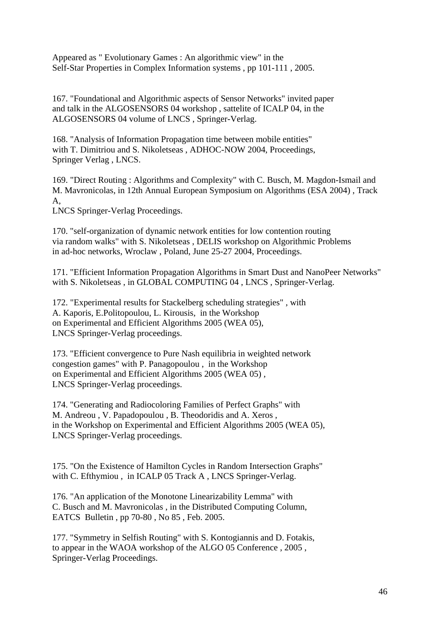Appeared as " Evolutionary Games : An algorithmic view" in the Self-Star Properties in Complex Information systems , pp 101-111 , 2005.

167. "Foundational and Algorithmic aspects of Sensor Networks" invited paper and talk in the ALGOSENSORS 04 workshop , sattelite of ICALP 04, in the ALGOSENSORS 04 volume of LNCS , Springer-Verlag.

168. "Analysis of Information Propagation time between mobile entities" with T. Dimitriou and S. Nikoletseas , ADHOC-NOW 2004, Proceedings, Springer Verlag , LNCS.

169. "Direct Routing : Algorithms and Complexity" with C. Busch, M. Magdon-Ismail and M. Mavronicolas, in 12th Annual European Symposium on Algorithms (ESA 2004) , Track A,

LNCS Springer-Verlag Proceedings.

170. "self-organization of dynamic network entities for low contention routing via random walks" with S. Nikoletseas , DELIS workshop on Algorithmic Problems in ad-hoc networks, Wroclaw , Poland, June 25-27 2004, Proceedings.

171. "Efficient Information Propagation Algorithms in Smart Dust and NanoPeer Networks" with S. Nikoletseas , in GLOBAL COMPUTING 04 , LNCS , Springer-Verlag.

172. "Experimental results for Stackelberg scheduling strategies" , with A. Kaporis, E.Politopoulou, L. Kirousis, in the Workshop on Experimental and Efficient Algorithms 2005 (WEA 05), LNCS Springer-Verlag proceedings.

173. "Efficient convergence to Pure Nash equilibria in weighted network congestion games" with P. Panagopoulou , in the Workshop on Experimental and Efficient Algorithms 2005 (WEA 05) , LNCS Springer-Verlag proceedings.

174. "Generating and Radiocoloring Families of Perfect Graphs" with M. Andreou , V. Papadopoulou , B. Theodoridis and A. Xeros , in the Workshop on Experimental and Efficient Algorithms 2005 (WEA 05), LNCS Springer-Verlag proceedings.

175. "On the Existence of Hamilton Cycles in Random Intersection Graphs" with C. Efthymiou, in ICALP 05 Track A, LNCS Springer-Verlag.

176. "An application of the Monotone Linearizability Lemma" with C. Busch and M. Mavronicolas , in the Distributed Computing Column, EATCS Bulletin , pp 70-80 , No 85 , Feb. 2005.

177. "Symmetry in Selfish Routing" with S. Kontogiannis and D. Fotakis, to appear in the WAOA workshop of the ALGO 05 Conference , 2005 , Springer-Verlag Proceedings.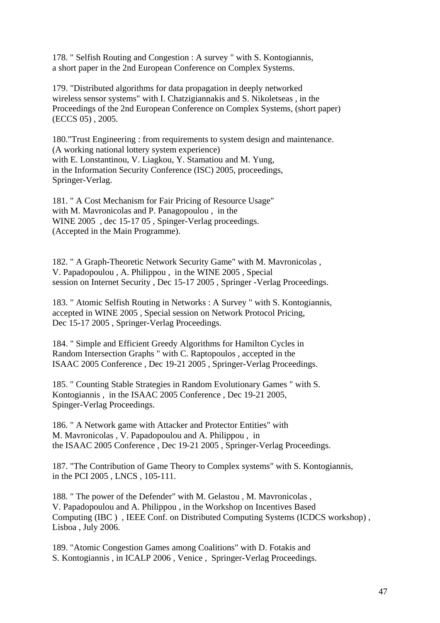178. " Selfish Routing and Congestion : A survey " with S. Kontogiannis, a short paper in the 2nd European Conference on Complex Systems.

179. "Distributed algorithms for data propagation in deeply networked wireless sensor systems" with I. Chatzigiannakis and S. Nikoletseas , in the Proceedings of the 2nd European Conference on Complex Systems, (short paper) (ECCS 05) , 2005.

180."Trust Engineering : from requirements to system design and maintenance. (A working national lottery system experience) with E. Lonstantinou, V. Liagkou, Y. Stamatiou and M. Yung, in the Information Security Conference (ISC) 2005, proceedings, Springer-Verlag.

181. " A Cost Mechanism for Fair Pricing of Resource Usage" with M. Mavronicolas and P. Panagopoulou , in the WINE 2005 , dec 15-17 05 , Spinger-Verlag proceedings. (Accepted in the Main Programme).

182. " A Graph-Theoretic Network Security Game" with M. Mavronicolas , V. Papadopoulou , A. Philippou , in the WINE 2005 , Special session on Internet Security, Dec 15-17 2005, Springer -Verlag Proceedings.

183. " Atomic Selfish Routing in Networks : A Survey " with S. Kontogiannis, accepted in WINE 2005 , Special session on Network Protocol Pricing, Dec 15-17 2005 , Springer-Verlag Proceedings.

184. " Simple and Efficient Greedy Algorithms for Hamilton Cycles in Random Intersection Graphs " with C. Raptopoulos , accepted in the ISAAC 2005 Conference , Dec 19-21 2005 , Springer-Verlag Proceedings.

185. " Counting Stable Strategies in Random Evolutionary Games " with S. Kontogiannis , in the ISAAC 2005 Conference , Dec 19-21 2005, Spinger-Verlag Proceedings.

186. " A Network game with Attacker and Protector Entities" with M. Mavronicolas , V. Papadopoulou and A. Philippou , in the ISAAC 2005 Conference , Dec 19-21 2005 , Springer-Verlag Proceedings.

187. "The Contribution of Game Theory to Complex systems" with S. Kontogiannis, in the PCI 2005 , LNCS , 105-111.

188. " The power of the Defender" with M. Gelastou , M. Mavronicolas , V. Papadopoulou and A. Philippou , in the Workshop on Incentives Based Computing (IBC ) , IEEE Conf. on Distributed Computing Systems (ICDCS workshop) , Lisboa , July 2006.

189. "Atomic Congestion Games among Coalitions" with D. Fotakis and S. Kontogiannis , in ICALP 2006 , Venice , Springer-Verlag Proceedings.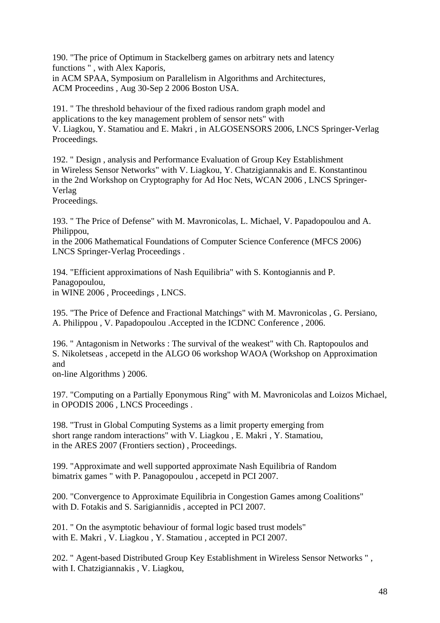190. "The price of Optimum in Stackelberg games on arbitrary nets and latency functions " , with Alex Kaporis,

in ACM SPAA, Symposium on Parallelism in Algorithms and Architectures, ACM Proceedins , Aug 30-Sep 2 2006 Boston USA.

191. " The threshold behaviour of the fixed radious random graph model and applications to the key management problem of sensor nets" with V. Liagkou, Y. Stamatiou and E. Makri , in ALGOSENSORS 2006, LNCS Springer-Verlag Proceedings.

192. " Design , analysis and Performance Evaluation of Group Key Establishment in Wireless Sensor Networks" with V. Liagkou, Y. Chatzigiannakis and E. Konstantinou in the 2nd Workshop on Cryptography for Ad Hoc Nets, WCAN 2006 , LNCS Springer-Verlag

Proceedings.

193. " The Price of Defense" with M. Mavronicolas, L. Michael, V. Papadopoulou and A. Philippou,

in the 2006 Mathematical Foundations of Computer Science Conference (MFCS 2006) LNCS Springer-Verlag Proceedings .

194. "Efficient approximations of Nash Equilibria" with S. Kontogiannis and P. Panagopoulou, in WINE 2006 , Proceedings , LNCS.

195. "The Price of Defence and Fractional Matchings" with M. Mavronicolas , G. Persiano, A. Philippou , V. Papadopoulou .Accepted in the ICDNC Conference , 2006.

196. " Antagonism in Networks : The survival of the weakest" with Ch. Raptopoulos and S. Nikoletseas , accepetd in the ALGO 06 workshop WAOA (Workshop on Approximation and

on-line Algorithms ) 2006.

197. "Computing on a Partially Eponymous Ring" with M. Mavronicolas and Loizos Michael, in OPODIS 2006 , LNCS Proceedings .

198. "Trust in Global Computing Systems as a limit property emerging from short range random interactions" with V. Liagkou , E. Makri , Y. Stamatiou, in the ARES 2007 (Frontiers section) , Proceedings.

199. "Approximate and well supported approximate Nash Equilibria of Random bimatrix games " with P. Panagopoulou , accepetd in PCI 2007.

200. "Convergence to Approximate Equilibria in Congestion Games among Coalitions" with D. Fotakis and S. Sarigiannidis , accepted in PCI 2007.

201. " On the asymptotic behaviour of formal logic based trust models" with E. Makri , V. Liagkou , Y. Stamatiou , accepted in PCI 2007.

202. " Agent-based Distributed Group Key Establishment in Wireless Sensor Networks " , with I. Chatzigiannakis , V. Liagkou,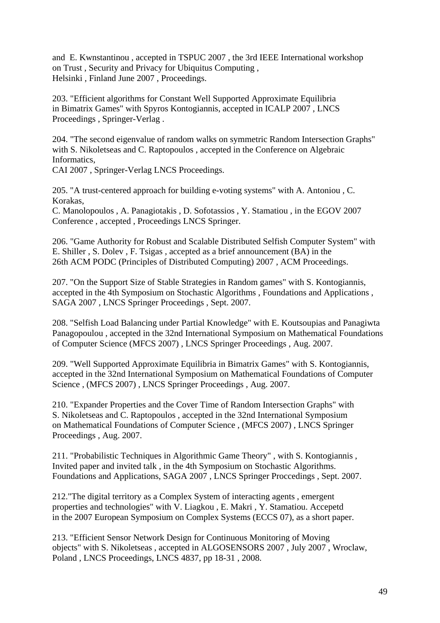and E. Kwnstantinou , accepted in TSPUC 2007 , the 3rd IEEE International workshop on Trust , Security and Privacy for Ubiquitus Computing , Helsinki , Finland June 2007 , Proceedings.

203. "Efficient algorithms for Constant Well Supported Approximate Equilibria in Bimatrix Games" with Spyros Kontogiannis, accepted in ICALP 2007 , LNCS Proceedings , Springer-Verlag .

204. "The second eigenvalue of random walks on symmetric Random Intersection Graphs" with S. Nikoletseas and C. Raptopoulos , accepted in the Conference on Algebraic Informatics,

CAI 2007 , Springer-Verlag LNCS Proceedings.

205. "A trust-centered approach for building e-voting systems" with A. Antoniou , C. Korakas,

C. Manolopoulos , A. Panagiotakis , D. Sofotassios , Y. Stamatiou , in the EGOV 2007 Conference , accepted , Proceedings LNCS Springer.

206. "Game Authority for Robust and Scalable Distributed Selfish Computer System" with E. Shiller , S. Dolev , F. Tsigas , accepted as a brief announcement (BA) in the 26th ACM PODC (Principles of Distributed Computing) 2007 , ACM Proceedings.

207. "On the Support Size of Stable Strategies in Random games" with S. Kontogiannis, accepted in the 4th Symposium on Stochastic Algorithms , Foundations and Applications , SAGA 2007 , LNCS Springer Proceedings , Sept. 2007.

208. "Selfish Load Balancing under Partial Knowledge" with E. Koutsoupias and Panagiwta Panagopoulou , accepted in the 32nd International Symposium on Mathematical Foundations of Computer Science (MFCS 2007) , LNCS Springer Proceedings , Aug. 2007.

209. "Well Supported Approximate Equilibria in Bimatrix Games" with S. Kontogiannis, accepted in the 32nd International Symposium on Mathematical Foundations of Computer Science , (MFCS 2007) , LNCS Springer Proceedings , Aug. 2007.

210. "Expander Properties and the Cover Time of Random Intersection Graphs" with S. Nikoletseas and C. Raptopoulos , accepted in the 32nd International Symposium on Mathematical Foundations of Computer Science , (MFCS 2007) , LNCS Springer Proceedings , Aug. 2007.

211. "Probabilistic Techniques in Algorithmic Game Theory" , with S. Kontogiannis , Invited paper and invited talk , in the 4th Symposium on Stochastic Algorithms. Foundations and Applications, SAGA 2007 , LNCS Springer Proccedings , Sept. 2007.

212."The digital territory as a Complex System of interacting agents , emergent properties and technologies" with V. Liagkou , E. Makri , Y. Stamatiou. Accepetd in the 2007 European Symposium on Complex Systems (ECCS 07), as a short paper.

213. "Efficient Sensor Network Design for Continuous Monitoring of Moving objects" with S. Nikoletseas , accepted in ALGOSENSORS 2007 , July 2007 , Wroclaw, Poland , LNCS Proceedings, LNCS 4837, pp 18-31 , 2008.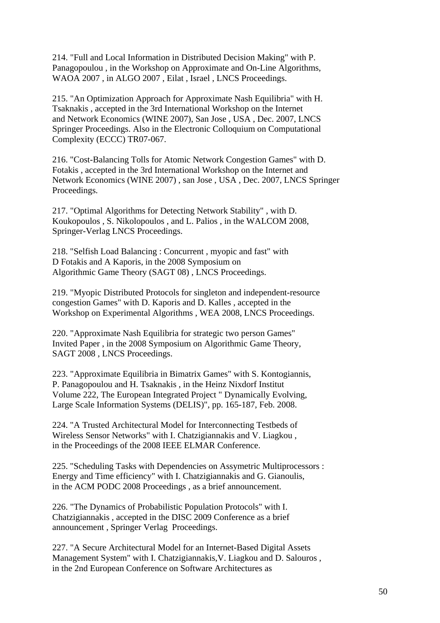214. "Full and Local Information in Distributed Decision Making" with P. Panagopoulou , in the Workshop on Approximate and On-Line Algorithms, WAOA 2007 , in ALGO 2007 , Eilat , Israel , LNCS Proceedings.

215. "An Optimization Approach for Approximate Nash Equilibria" with H. Tsaknakis , accepted in the 3rd International Workshop on the Internet and Network Economics (WINE 2007), San Jose , USA , Dec. 2007, LNCS Springer Proceedings. Also in the Electronic Colloquium on Computational Complexity (ECCC) TR07-067.

216. "Cost-Balancing Tolls for Atomic Network Congestion Games" with D. Fotakis , accepted in the 3rd International Workshop on the Internet and Network Economics (WINE 2007) , san Jose , USA , Dec. 2007, LNCS Springer Proceedings.

217. "Optimal Algorithms for Detecting Network Stability" , with D. Koukopoulos , S. Nikolopoulos , and L. Palios , in the WALCOM 2008, Springer-Verlag LNCS Proceedings.

218. "Selfish Load Balancing : Concurrent , myopic and fast" with D Fotakis and A Kaporis, in the 2008 Symposium on Algorithmic Game Theory (SAGT 08) , LNCS Proceedings.

219. "Myopic Distributed Protocols for singleton and independent-resource congestion Games" with D. Kaporis and D. Kalles , accepted in the Workshop on Experimental Algorithms , WEA 2008, LNCS Proceedings.

220. "Approximate Nash Equilibria for strategic two person Games" Invited Paper , in the 2008 Symposium on Algorithmic Game Theory, SAGT 2008 , LNCS Proceedings.

223. "Approximate Equilibria in Bimatrix Games" with S. Kontogiannis, P. Panagopoulou and H. Tsaknakis , in the Heinz Nixdorf Institut Volume 222, The European Integrated Project " Dynamically Evolving, Large Scale Information Systems (DELIS)", pp. 165-187, Feb. 2008.

224. "A Trusted Architectural Model for Interconnecting Testbeds of Wireless Sensor Networks" with I. Chatzigiannakis and V. Liagkou , in the Proceedings of the 2008 IEEE ELMAR Conference.

225. "Scheduling Tasks with Dependencies on Assymetric Multiprocessors : Energy and Time efficiency" with I. Chatzigiannakis and G. Gianoulis, in the ACM PODC 2008 Proceedings , as a brief announcement.

226. "The Dynamics of Probabilistic Population Protocols" with I. Chatzigiannakis , accepted in the DISC 2009 Conference as a brief announcement , Springer Verlag Proceedings.

227. "A Secure Architectural Model for an Internet-Based Digital Assets Management System" with I. Chatzigiannakis,V. Liagkou and D. Salouros , in the 2nd European Conference on Software Architectures as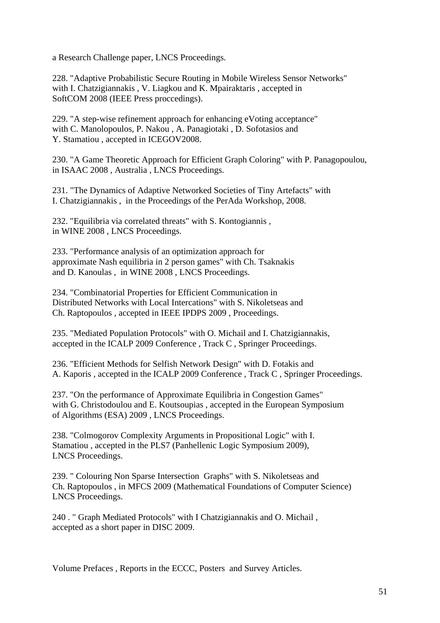a Research Challenge paper, LNCS Proceedings.

228. "Adaptive Probabilistic Secure Routing in Mobile Wireless Sensor Networks" with I. Chatzigiannakis , V. Liagkou and K. Mpairaktaris , accepted in SoftCOM 2008 (IEEE Press proccedings).

229. "A step-wise refinement approach for enhancing eVoting acceptance" with C. Manolopoulos, P. Nakou , A. Panagiotaki , D. Sofotasios and Y. Stamatiou , accepted in ICEGOV2008.

230. "A Game Theoretic Approach for Efficient Graph Coloring" with P. Panagopoulou, in ISAAC 2008 , Australia , LNCS Proceedings.

231. "The Dynamics of Adaptive Networked Societies of Tiny Artefacts" with I. Chatzigiannakis , in the Proceedings of the PerAda Workshop, 2008.

232. "Equilibria via correlated threats" with S. Kontogiannis , in WINE 2008 , LNCS Proceedings.

233. "Performance analysis of an optimization approach for approximate Nash equilibria in 2 person games" with Ch. Tsaknakis and D. Kanoulas , in WINE 2008 , LNCS Proceedings.

234. "Combinatorial Properties for Efficient Communication in Distributed Networks with Local Intercations" with S. Nikoletseas and Ch. Raptopoulos , accepted in IEEE IPDPS 2009 , Proceedings.

235. "Mediated Population Protocols" with O. Michail and I. Chatzigiannakis, accepted in the ICALP 2009 Conference , Track C , Springer Proceedings.

236. "Efficient Methods for Selfish Network Design" with D. Fotakis and A. Kaporis , accepted in the ICALP 2009 Conference , Track C , Springer Proceedings.

237. "On the performance of Approximate Equilibria in Congestion Games" with G. Christodoulou and E. Koutsoupias , accepted in the European Symposium of Algorithms (ESA) 2009 , LNCS Proceedings.

238. "Colmogorov Complexity Arguments in Propositional Logic" with I. Stamatiou , accepted in the PLS7 (Panhellenic Logic Symposium 2009), LNCS Proceedings.

239. " Colouring Non Sparse Intersection Graphs" with S. Nikoletseas and Ch. Raptopoulos , in MFCS 2009 (Mathematical Foundations of Computer Science) LNCS Proceedings.

240 . " Graph Mediated Protocols" with I Chatzigiannakis and O. Michail , accepted as a short paper in DISC 2009.

Volume Prefaces , Reports in the ECCC, Posters and Survey Articles.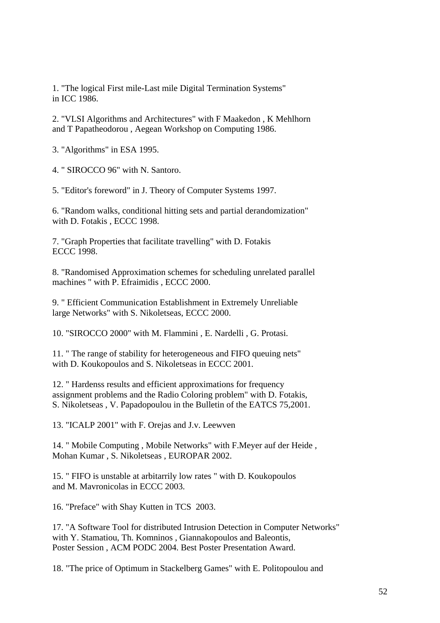1. "The logical First mile-Last mile Digital Termination Systems" in ICC 1986.

2. "VLSI Algorithms and Architectures" with F Maakedon , K Mehlhorn and T Papatheodorou , Aegean Workshop on Computing 1986.

3. "Algorithms" in ESA 1995.

4. " SIROCCO 96" with N. Santoro.

5. "Editor's foreword" in J. Theory of Computer Systems 1997.

6. "Random walks, conditional hitting sets and partial derandomization" with D. Fotakis , ECCC 1998.

7. "Graph Properties that facilitate travelling" with D. Fotakis ECCC 1998.

8. "Randomised Approximation schemes for scheduling unrelated parallel machines " with P. Efraimidis , ECCC 2000.

9. " Efficient Communication Establishment in Extremely Unreliable large Networks" with S. Nikoletseas, ECCC 2000.

10. "SIROCCO 2000" with M. Flammini , E. Nardelli , G. Protasi.

11. " The range of stability for heterogeneous and FIFO queuing nets" with D. Koukopoulos and S. Nikoletseas in ECCC 2001.

12. " Hardenss results and efficient approximations for frequency assignment problems and the Radio Coloring problem" with D. Fotakis, S. Nikoletseas , V. Papadopoulou in the Bulletin of the EATCS 75,2001.

13. "ICALP 2001" with F. Orejas and J.v. Leewven

14. " Mobile Computing , Mobile Networks" with F.Meyer auf der Heide , Mohan Kumar , S. Nikoletseas , EUROPAR 2002.

15. " FIFO is unstable at arbitarrily low rates " with D. Koukopoulos and M. Mavronicolas in ECCC 2003.

16. "Preface" with Shay Kutten in TCS 2003.

17. "A Software Tool for distributed Intrusion Detection in Computer Networks" with Y. Stamatiou, Th. Komninos , Giannakopoulos and Baleontis, Poster Session , ACM PODC 2004. Best Poster Presentation Award.

18. "The price of Optimum in Stackelberg Games" with E. Politopoulou and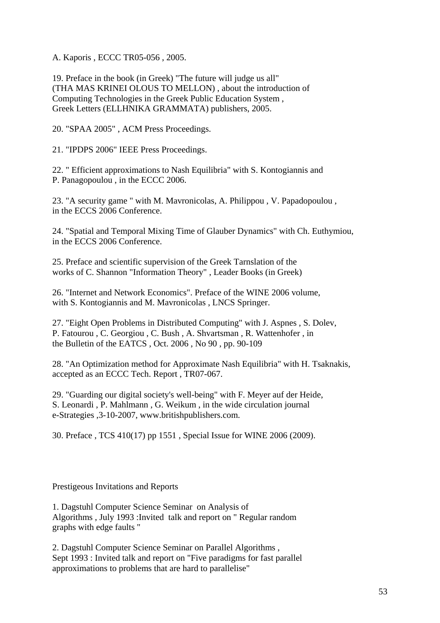A. Kaporis , ECCC TR05-056 , 2005.

19. Preface in the book (in Greek) "The future will judge us all" (THA MAS KRINEI OLOUS TO MELLON) , about the introduction of Computing Technologies in the Greek Public Education System , Greek Letters (ELLHNIKA GRAMMATA) publishers, 2005.

20. "SPAA 2005" , ACM Press Proceedings.

21. "IPDPS 2006" IEEE Press Proceedings.

22. " Efficient approximations to Nash Equilibria" with S. Kontogiannis and P. Panagopoulou , in the ECCC 2006.

23. "A security game " with M. Mavronicolas, A. Philippou , V. Papadopoulou , in the ECCS 2006 Conference.

24. "Spatial and Temporal Mixing Time of Glauber Dynamics" with Ch. Euthymiou, in the ECCS 2006 Conference.

25. Preface and scientific supervision of the Greek Tarnslation of the works of C. Shannon "Information Theory" , Leader Books (in Greek)

26. "Internet and Network Economics". Preface of the WINE 2006 volume, with S. Kontogiannis and M. Mavronicolas , LNCS Springer.

27. "Eight Open Problems in Distributed Computing" with J. Aspnes , S. Dolev, P. Fatourou , C. Georgiou , C. Bush , A. Shvartsman , R. Wattenhofer , in the Bulletin of the EATCS , Oct. 2006 , No 90 , pp. 90-109

28. "An Optimization method for Approximate Nash Equilibria" with H. Tsaknakis, accepted as an ECCC Tech. Report , TR07-067.

29. "Guarding our digital society's well-being" with F. Meyer auf der Heide, S. Leonardi , P. Mahlmann , G. Weikum , in the wide circulation journal e-Strategies ,3-10-2007, www.britishpublishers.com.

30. Preface , TCS 410(17) pp 1551 , Special Issue for WINE 2006 (2009).

Prestigeous Invitations and Reports

1. Dagstuhl Computer Science Seminar on Analysis of Algorithms , July 1993 :Invited talk and report on " Regular random graphs with edge faults "

2. Dagstuhl Computer Science Seminar on Parallel Algorithms , Sept 1993 : Invited talk and report on "Five paradigms for fast parallel approximations to problems that are hard to parallelise"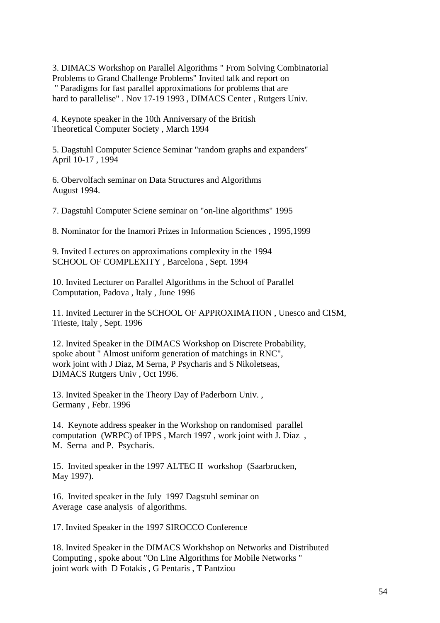3. DIMACS Workshop on Parallel Algorithms " From Solving Combinatorial Problems to Grand Challenge Problems" Invited talk and report on " Paradigms for fast parallel approximations for problems that are hard to parallelise" . Nov 17-19 1993 , DIMACS Center , Rutgers Univ.

4. Keynote speaker in the 10th Anniversary of the British Theoretical Computer Society , March 1994

5. Dagstuhl Computer Science Seminar "random graphs and expanders" April 10-17 , 1994

6. Obervolfach seminar on Data Structures and Algorithms August 1994.

7. Dagstuhl Computer Sciene seminar on "on-line algorithms" 1995

8. Nominator for the Inamori Prizes in Information Sciences , 1995,1999

9. Invited Lectures on approximations complexity in the 1994 SCHOOL OF COMPLEXITY , Barcelona , Sept. 1994

10. Invited Lecturer on Parallel Algorithms in the School of Parallel Computation, Padova , Italy , June 1996

11. Invited Lecturer in the SCHOOL OF APPROXIMATION , Unesco and CISM, Trieste, Italy , Sept. 1996

12. Invited Speaker in the DIMACS Workshop on Discrete Probability, spoke about " Almost uniform generation of matchings in RNC", work joint with J Diaz, M Serna, P Psycharis and S Nikoletseas, DIMACS Rutgers Univ , Oct 1996.

13. Invited Speaker in the Theory Day of Paderborn Univ. , Germany , Febr. 1996

14. Keynote address speaker in the Workshop on randomised parallel computation (WRPC) of IPPS , March 1997 , work joint with J. Diaz , M. Serna and P. Psycharis.

15. Invited speaker in the 1997 ALTEC II workshop (Saarbrucken, May 1997).

16. Invited speaker in the July 1997 Dagstuhl seminar on Average case analysis of algorithms.

17. Invited Speaker in the 1997 SIROCCO Conference

18. Invited Speaker in the DIMACS Workhshop on Networks and Distributed Computing , spoke about "On Line Algorithms for Mobile Networks " joint work with D Fotakis , G Pentaris , T Pantziou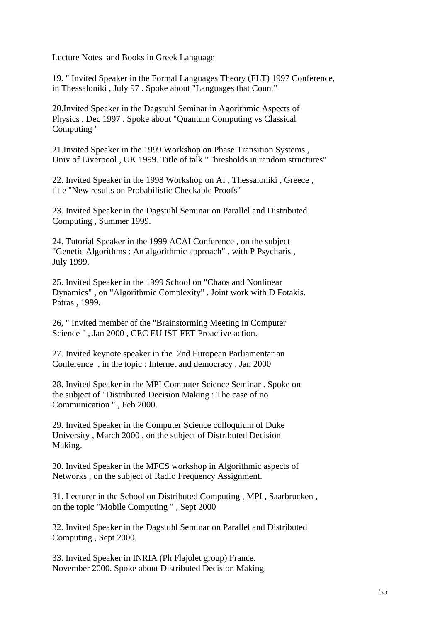Lecture Notes and Books in Greek Language

19. " Invited Speaker in the Formal Languages Theory (FLT) 1997 Conference, in Thessaloniki , July 97 . Spoke about "Languages that Count"

20.Invited Speaker in the Dagstuhl Seminar in Agorithmic Aspects of Physics , Dec 1997 . Spoke about "Quantum Computing vs Classical Computing "

21.Invited Speaker in the 1999 Workshop on Phase Transition Systems , Univ of Liverpool , UK 1999. Title of talk "Thresholds in random structures"

22. Invited Speaker in the 1998 Workshop on AI , Thessaloniki , Greece , title "New results on Probabilistic Checkable Proofs"

23. Invited Speaker in the Dagstuhl Seminar on Parallel and Distributed Computing , Summer 1999.

24. Tutorial Speaker in the 1999 ACAI Conference , on the subject "Genetic Algorithms : An algorithmic approach" , with P Psycharis , July 1999.

25. Invited Speaker in the 1999 School on "Chaos and Nonlinear Dynamics" , on "Algorithmic Complexity" . Joint work with D Fotakis. Patras , 1999.

26, " Invited member of the "Brainstorming Meeting in Computer Science " , Jan 2000 , CEC EU IST FET Proactive action.

27. Invited keynote speaker in the 2nd European Parliamentarian Conference , in the topic : Internet and democracy , Jan 2000

28. Invited Speaker in the MPI Computer Science Seminar . Spoke on the subject of "Distributed Decision Making : The case of no Communication " , Feb 2000.

29. Invited Speaker in the Computer Science colloquium of Duke University , March 2000 , on the subject of Distributed Decision Making.

30. Invited Speaker in the MFCS workshop in Algorithmic aspects of Networks , on the subject of Radio Frequency Assignment.

31. Lecturer in the School on Distributed Computing , MPI , Saarbrucken , on the topic "Mobile Computing " , Sept 2000

32. Invited Speaker in the Dagstuhl Seminar on Parallel and Distributed Computing , Sept 2000.

33. Invited Speaker in INRIA (Ph Flajolet group) France. November 2000. Spoke about Distributed Decision Making.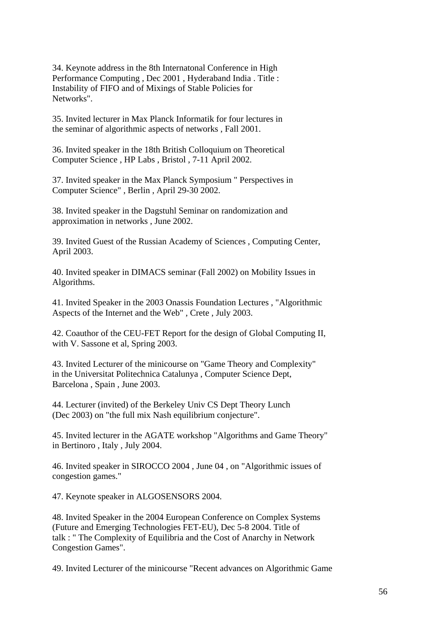34. Keynote address in the 8th Internatonal Conference in High Performance Computing , Dec 2001 , Hyderaband India . Title : Instability of FIFO and of Mixings of Stable Policies for Networks".

35. Invited lecturer in Max Planck Informatik for four lectures in the seminar of algorithmic aspects of networks , Fall 2001.

36. Invited speaker in the 18th British Colloquium on Theoretical Computer Science , HP Labs , Bristol , 7-11 April 2002.

37. Invited speaker in the Max Planck Symposium " Perspectives in Computer Science" , Berlin , April 29-30 2002.

38. Invited speaker in the Dagstuhl Seminar on randomization and approximation in networks , June 2002.

39. Invited Guest of the Russian Academy of Sciences , Computing Center, April 2003.

40. Invited speaker in DIMACS seminar (Fall 2002) on Mobility Issues in Algorithms.

41. Invited Speaker in the 2003 Onassis Foundation Lectures , "Algorithmic Aspects of the Internet and the Web" , Crete , July 2003.

42. Coauthor of the CEU-FET Report for the design of Global Computing II, with V. Sassone et al, Spring 2003.

43. Invited Lecturer of the minicourse on "Game Theory and Complexity" in the Universitat Politechnica Catalunya , Computer Science Dept, Barcelona , Spain , June 2003.

44. Lecturer (invited) of the Berkeley Univ CS Dept Theory Lunch (Dec 2003) on "the full mix Nash equilibrium conjecture".

45. Invited lecturer in the AGATE workshop "Algorithms and Game Theory" in Bertinoro , Italy , July 2004.

46. Invited speaker in SIROCCO 2004 , June 04 , on "Algorithmic issues of congestion games."

47. Keynote speaker in ALGOSENSORS 2004.

48. Invited Speaker in the 2004 European Conference on Complex Systems (Future and Emerging Technologies FET-EU), Dec 5-8 2004. Title of talk : " The Complexity of Equilibria and the Cost of Anarchy in Network Congestion Games".

49. Invited Lecturer of the minicourse "Recent advances on Algorithmic Game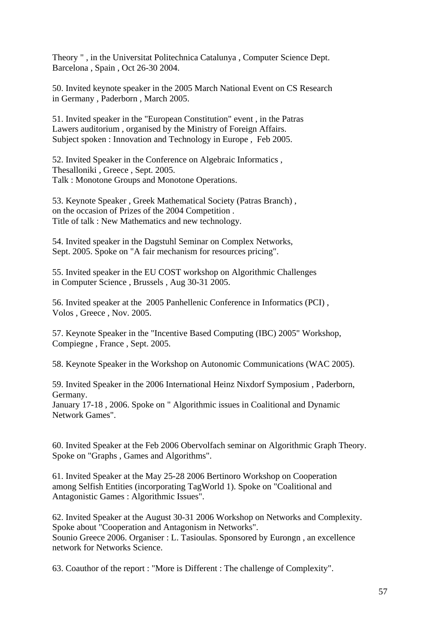Theory " , in the Universitat Politechnica Catalunya , Computer Science Dept. Barcelona , Spain , Oct 26-30 2004.

50. Invited keynote speaker in the 2005 March National Event on CS Research in Germany , Paderborn , March 2005.

51. Invited speaker in the "European Constitution" event , in the Patras Lawers auditorium , organised by the Ministry of Foreign Affairs. Subject spoken : Innovation and Technology in Europe , Feb 2005.

52. Invited Speaker in the Conference on Algebraic Informatics , Thesalloniki , Greece , Sept. 2005. Talk : Monotone Groups and Monotone Operations.

53. Keynote Speaker , Greek Mathematical Society (Patras Branch) , on the occasion of Prizes of the 2004 Competition . Title of talk : New Mathematics and new technology.

54. Invited speaker in the Dagstuhl Seminar on Complex Networks, Sept. 2005. Spoke on "A fair mechanism for resources pricing".

55. Invited speaker in the EU COST workshop on Algorithmic Challenges in Computer Science , Brussels , Aug 30-31 2005.

56. Invited speaker at the 2005 Panhellenic Conference in Informatics (PCI) , Volos , Greece , Nov. 2005.

57. Keynote Speaker in the "Incentive Based Computing (IBC) 2005" Workshop, Compiegne , France , Sept. 2005.

58. Keynote Speaker in the Workshop on Autonomic Communications (WAC 2005).

59. Invited Speaker in the 2006 International Heinz Nixdorf Symposium , Paderborn, Germany. January 17-18 , 2006. Spoke on " Algorithmic issues in Coalitional and Dynamic Network Games".

60. Invited Speaker at the Feb 2006 Obervolfach seminar on Algorithmic Graph Theory. Spoke on "Graphs , Games and Algorithms".

61. Invited Speaker at the May 25-28 2006 Bertinoro Workshop on Cooperation among Selfish Entities (incorporating TagWorld 1). Spoke on "Coalitional and Antagonistic Games : Algorithmic Issues".

62. Invited Speaker at the August 30-31 2006 Workshop on Networks and Complexity. Spoke about "Cooperation and Antagonism in Networks". Sounio Greece 2006. Organiser : L. Tasioulas. Sponsored by Eurongn , an excellence network for Networks Science.

63. Coauthor of the report : "More is Different : The challenge of Complexity".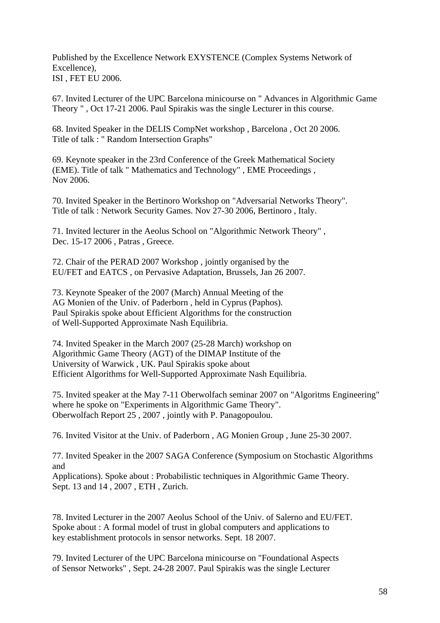Published by the Excellence Network EXYSTENCE (Complex Systems Network of Excellence), ISI , FET EU 2006.

67. Invited Lecturer of the UPC Barcelona minicourse on " Advances in Algorithmic Game Theory " , Oct 17-21 2006. Paul Spirakis was the single Lecturer in this course.

68. Invited Speaker in the DELIS CompNet workshop , Barcelona , Oct 20 2006. Title of talk : " Random Intersection Graphs"

69. Keynote speaker in the 23rd Conference of the Greek Mathematical Society (EME). Title of talk " Mathematics and Technology" , EME Proceedings , Nov 2006.

70. Invited Speaker in the Bertinoro Workshop on "Adversarial Networks Theory". Title of talk : Network Security Games. Nov 27-30 2006, Bertinoro , Italy.

71. Invited lecturer in the Aeolus School on "Algorithmic Network Theory" , Dec. 15-17 2006 , Patras , Greece.

72. Chair of the PERAD 2007 Workshop , jointly organised by the EU/FET and EATCS , on Pervasive Adaptation, Brussels, Jan 26 2007.

73. Keynote Speaker of the 2007 (March) Annual Meeting of the AG Monien of the Univ. of Paderborn , held in Cyprus (Paphos). Paul Spirakis spoke about Efficient Algorithms for the construction of Well-Supported Approximate Nash Equilibria.

74. Invited Speaker in the March 2007 (25-28 March) workshop on Algorithmic Game Theory (AGT) of the DIMAP Institute of the University of Warwick , UK. Paul Spirakis spoke about Efficient Algorithms for Well-Supported Approximate Nash Equilibria.

75. Invited speaker at the May 7-11 Oberwolfach seminar 2007 on "Algoritms Engineering" where he spoke on "Experiments in Algorithmic Game Theory". Oberwolfach Report 25 , 2007 , jointly with P. Panagopoulou.

76. Invited Visitor at the Univ. of Paderborn , AG Monien Group , June 25-30 2007.

77. Invited Speaker in the 2007 SAGA Conference (Symposium on Stochastic Algorithms and

Applications). Spoke about : Probabilistic techniques in Algorithmic Game Theory. Sept. 13 and 14 , 2007 , ETH , Zurich.

78. Invited Lecturer in the 2007 Aeolus School of the Univ. of Salerno and EU/FET. Spoke about : A formal model of trust in global computers and applications to key establishment protocols in sensor networks. Sept. 18 2007.

79. Invited Lecturer of the UPC Barcelona minicourse on "Foundational Aspects of Sensor Networks" , Sept. 24-28 2007. Paul Spirakis was the single Lecturer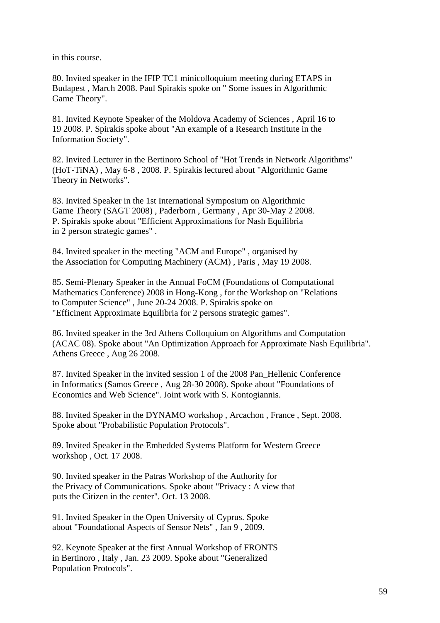in this course.

80. Invited speaker in the IFIP TC1 minicolloquium meeting during ETAPS in Budapest , March 2008. Paul Spirakis spoke on " Some issues in Algorithmic Game Theory".

81. Invited Keynote Speaker of the Moldova Academy of Sciences , April 16 to 19 2008. P. Spirakis spoke about "An example of a Research Institute in the Information Society".

82. Invited Lecturer in the Bertinoro School of "Hot Trends in Network Algorithms" (HoT-TiNA) , May 6-8 , 2008. P. Spirakis lectured about "Algorithmic Game Theory in Networks".

83. Invited Speaker in the 1st International Symposium on Algorithmic Game Theory (SAGT 2008) , Paderborn , Germany , Apr 30-May 2 2008. P. Spirakis spoke about "Efficient Approximations for Nash Equilibria in 2 person strategic games" .

84. Invited speaker in the meeting "ACM and Europe" , organised by the Association for Computing Machinery (ACM) , Paris , May 19 2008.

85. Semi-Plenary Speaker in the Annual FoCM (Foundations of Computational Mathematics Conference) 2008 in Hong-Kong , for the Workshop on "Relations to Computer Science" , June 20-24 2008. P. Spirakis spoke on "Efficinent Approximate Equilibria for 2 persons strategic games".

86. Invited speaker in the 3rd Athens Colloquium on Algorithms and Computation (ACAC 08). Spoke about "An Optimization Approach for Approximate Nash Equilibria". Athens Greece , Aug 26 2008.

87. Invited Speaker in the invited session 1 of the 2008 Pan\_Hellenic Conference in Informatics (Samos Greece , Aug 28-30 2008). Spoke about "Foundations of Economics and Web Science". Joint work with S. Kontogiannis.

88. Invited Speaker in the DYNAMO workshop , Arcachon , France , Sept. 2008. Spoke about "Probabilistic Population Protocols".

89. Invited Speaker in the Embedded Systems Platform for Western Greece workshop , Oct. 17 2008.

90. Invited speaker in the Patras Workshop of the Authority for the Privacy of Communications. Spoke about "Privacy : A view that puts the Citizen in the center". Oct. 13 2008.

91. Invited Speaker in the Open University of Cyprus. Spoke about "Foundational Aspects of Sensor Nets" , Jan 9 , 2009.

92. Keynote Speaker at the first Annual Workshop of FRONTS in Bertinoro , Italy , Jan. 23 2009. Spoke about "Generalized Population Protocols".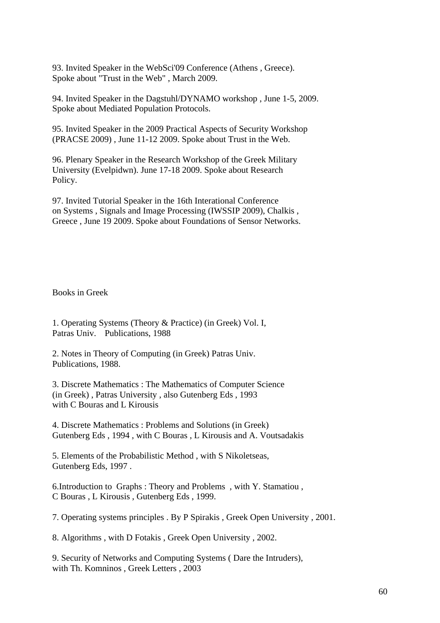93. Invited Speaker in the WebSci'09 Conference (Athens , Greece). Spoke about "Trust in the Web" , March 2009.

94. Invited Speaker in the Dagstuhl/DYNAMO workshop , June 1-5, 2009. Spoke about Mediated Population Protocols.

95. Invited Speaker in the 2009 Practical Aspects of Security Workshop (PRACSE 2009) , June 11-12 2009. Spoke about Trust in the Web.

96. Plenary Speaker in the Research Workshop of the Greek Military University (Evelpidwn). June 17-18 2009. Spoke about Research Policy.

97. Invited Tutorial Speaker in the 16th Interational Conference on Systems , Signals and Image Processing (IWSSIP 2009), Chalkis , Greece , June 19 2009. Spoke about Foundations of Sensor Networks.

Books in Greek

1. Operating Systems (Theory & Practice) (in Greek) Vol. I, Patras Univ. Publications, 1988

2. Notes in Theory of Computing (in Greek) Patras Univ. Publications, 1988.

3. Discrete Mathematics : The Mathematics of Computer Science (in Greek) , Patras University , also Gutenberg Eds , 1993 with C Bouras and L Kirousis

4. Discrete Mathematics : Problems and Solutions (in Greek) Gutenberg Eds , 1994 , with C Bouras , L Kirousis and A. Voutsadakis

5. Elements of the Probabilistic Method , with S Nikoletseas, Gutenberg Eds, 1997 .

6.Introduction to Graphs : Theory and Problems , with Y. Stamatiou , C Bouras , L Kirousis , Gutenberg Eds , 1999.

7. Operating systems principles . By P Spirakis , Greek Open University , 2001.

8. Algorithms , with D Fotakis , Greek Open University , 2002.

9. Security of Networks and Computing Systems ( Dare the Intruders), with Th. Komninos , Greek Letters , 2003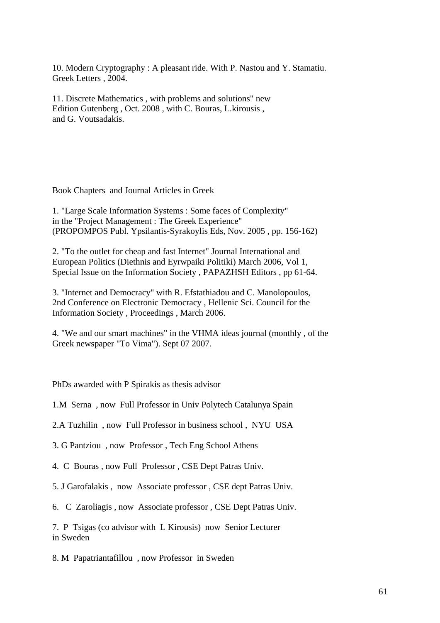10. Modern Cryptography : A pleasant ride. With P. Nastou and Y. Stamatiu. Greek Letters , 2004.

11. Discrete Mathematics , with problems and solutions" new Edition Gutenberg , Oct. 2008 , with C. Bouras, L.kirousis , and G. Voutsadakis.

Book Chapters and Journal Articles in Greek

1. "Large Scale Information Systems : Some faces of Complexity" in the "Project Management : The Greek Experience" (PROPOMPOS Publ. Ypsilantis-Syrakoylis Eds, Nov. 2005 , pp. 156-162)

2. "To the outlet for cheap and fast Internet" Journal International and European Politics (Diethnis and Eyrwpaiki Politiki) March 2006, Vol 1, Special Issue on the Information Society , PAPAZHSH Editors , pp 61-64.

3. "Internet and Democracy" with R. Efstathiadou and C. Manolopoulos, 2nd Conference on Electronic Democracy , Hellenic Sci. Council for the Information Society , Proceedings , March 2006.

4. "We and our smart machines" in the VHMA ideas journal (monthly , of the Greek newspaper "To Vima"). Sept 07 2007.

PhDs awarded with P Spirakis as thesis advisor

1.M Serna , now Full Professor in Univ Polytech Catalunya Spain

2.A Tuzhilin , now Full Professor in business school , NYU USA

3. G Pantziou , now Professor , Tech Eng School Athens

4. C Bouras , now Full Professor , CSE Dept Patras Univ.

5. J Garofalakis , now Associate professor , CSE dept Patras Univ.

6. C Zaroliagis , now Associate professor , CSE Dept Patras Univ.

7. P Tsigas (co advisor with L Kirousis) now Senior Lecturer in Sweden

8. M Papatriantafillou , now Professor in Sweden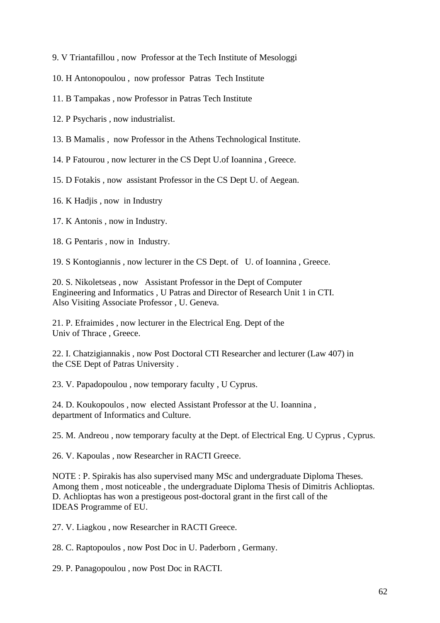- 9. V Triantafillou , now Professor at the Tech Institute of Mesologgi
- 10. H Antonopoulou , now professor Patras Tech Institute
- 11. B Tampakas , now Professor in Patras Tech Institute
- 12. P Psycharis , now industrialist.
- 13. B Mamalis , now Professor in the Athens Technological Institute.
- 14. P Fatourou , now lecturer in the CS Dept U.of Ioannina , Greece.
- 15. D Fotakis , now assistant Professor in the CS Dept U. of Aegean.

16. K Hadjis , now in Industry

- 17. K Antonis , now in Industry.
- 18. G Pentaris , now in Industry.

19. S Kontogiannis , now lecturer in the CS Dept. of U. of Ioannina , Greece.

20. S. Nikoletseas , now Assistant Professor in the Dept of Computer Engineering and Informatics , U Patras and Director of Research Unit 1 in CTI. Also Visiting Associate Professor , U. Geneva.

21. P. Efraimides , now lecturer in the Electrical Eng. Dept of the Univ of Thrace , Greece.

22. I. Chatzigiannakis , now Post Doctoral CTI Researcher and lecturer (Law 407) in the CSE Dept of Patras University .

23. V. Papadopoulou , now temporary faculty , U Cyprus.

24. D. Koukopoulos , now elected Assistant Professor at the U. Ioannina , department of Informatics and Culture.

25. M. Andreou , now temporary faculty at the Dept. of Electrical Eng. U Cyprus , Cyprus.

26. V. Kapoulas , now Researcher in RACTI Greece.

NOTE : P. Spirakis has also supervised many MSc and undergraduate Diploma Theses. Among them , most noticeable , the undergraduate Diploma Thesis of Dimitris Achlioptas. D. Achlioptas has won a prestigeous post-doctoral grant in the first call of the IDEAS Programme of EU.

27. V. Liagkou , now Researcher in RACTI Greece.

28. C. Raptopoulos , now Post Doc in U. Paderborn , Germany.

29. P. Panagopoulou , now Post Doc in RACTI.